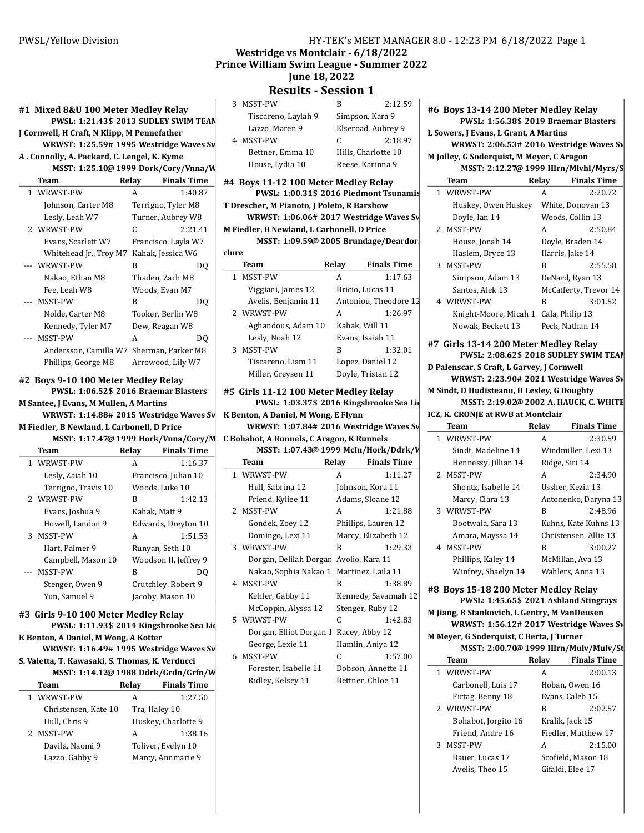# Westridge vs Montclair - 6/18/2022

Prince William Swim League - Summer 2022

# June 18, 2022

Results - Session 1

| MSST-PW<br>3        | В | 2:12.59             |
|---------------------|---|---------------------|
| Tiscareno, Laylah 9 |   | Simpson, Kara 9     |
| Lazzo, Maren 9      |   | Elseroad, Aubrey 9  |
| MSST-PW             | C | 2:18.97             |
| Bettner, Emma 10    |   | Hills, Charlotte 10 |
| House Lydia 10      |   | Dooco Karinna Q     |

2:18.97 e, Karinna 9

#4 Boys 11-12 100 Meter Medley Relay PWSL: 1:00.31\$ 2016 Piedmont Tsunamis T Drescher, M Pianoto, J Poleto, R Barshow

WRWST:  $1:06.06\#$  2017 Westridge Waves Sv M Fiedler, B Newland, L Carbonell, D Price

MSST: 1:09.59@ 2005 Brundage/Deardor clure

| Team                | Relay | <b>Finals Time</b>    |
|---------------------|-------|-----------------------|
| MSST-PW             | А     | 1:17.63               |
| Viggiani, James 12  |       | Bricio, Lucas 11      |
| Avelis, Benjamin 11 |       | Antoniou, Theodore 12 |
| 2 WRWST-PW          | A     | 1:26.97               |
| Aghandous, Adam 10  |       | Kahak, Will 11        |
| Lesly, Noah 12      |       | Evans, Isaiah 11      |
| <b>MSST-PW</b>      | В     | 1:32.01               |
| Tiscareno, Liam 11  |       | Lopez, Daniel 12      |
| Miller, Grevsen 11  |       | Doyle, Tristan 12     |

### #5 Girls 11-12 100 Meter Medley Relay PWSL: 1:03.37\$ 2016 Kingsbrooke Sea Lio

K Benton, A Daniel, M Wong, E Flynn WRWST:  $1:07.84# 2016$  Westridge Waves Sv Team

C Bohabot, A Runnels, C Aragon, K Runnels

| MSST: 1:07.43@ 1999 McIn/Hork/Ddrk/V     |       |                      |  |
|------------------------------------------|-------|----------------------|--|
| Team                                     | Relay | <b>Finals Time</b>   |  |
| 1 WRWST-PW                               | A     | 1:11.27              |  |
| Hull, Sabrina 12                         |       | Johnson, Kora 11     |  |
| Friend, Kyliee 11                        |       | Adams, Sloane 12     |  |
| 2 MSST-PW                                | A     | 1:21.88              |  |
| Gondek, Zoey 12                          |       | Phillips, Lauren 12  |  |
| Domingo, Lexi 11                         |       | Marcy, Elizabeth 12  |  |
| 3 WRWST-PW                               | R     | 1:29.33              |  |
| Dorgan, Delilah Dorgar Avolio, Kara 11   |       |                      |  |
| Nakao, Sophia Nakao 1 Martinez, Laila 11 |       |                      |  |
| 4 MSST-PW                                | R     | 1:38.89              |  |
| Kehler, Gabby 11                         |       | Kennedy, Savannah 12 |  |
| McCoppin, Alyssa 12                      |       | Stenger, Ruby 12     |  |
| 5 WRWST-PW                               | C     | 1:42.83              |  |
| Dorgan, Elliot Dorgan 1                  |       | Racey, Abby 12       |  |
| George, Lexie 11                         |       | Hamlin, Aniya 12     |  |
| 6 MSST-PW                                | C     | 1:57.00              |  |
| Forester, Isabelle 11                    |       | Dobson, Annette 11   |  |
| Ridley, Kelsey 11                        |       | Bettner, Chloe 11    |  |

#6 Boys 13-14 200 Meter Medley Relay PWSL: 1:56.38\$ 2019 Braemar Blasters L Sowers, J Evans, L Grant, A Martins

WRWST:  $2:06.53# 2016$  Westridge Waves Sv

#### M Jolley, G Soderquist, M Meyer, C Aragon MSST: 2:12.27@ 1999 Hlrn/Mlvhl/Myrs/S

| Team                  | Relav | <b>Finals Time</b>    |
|-----------------------|-------|-----------------------|
| 1 WRWST-PW            | A     | 2:20.72               |
| Huskey, Owen Huskey   |       | White, Donovan 13     |
| Doyle, Ian 14         |       | Woods, Collin 13      |
| 2 MSST-PW             | A     | 2:50.84               |
| House, Jonah 14       |       | Doyle, Braden 14      |
| Haslem, Bryce 13      |       | Harris, Jake 14       |
| 3 MSST-PW             | B     | 2:55.58               |
| Simpson, Adam 13      |       | DeNard, Ryan 13       |
| Santos, Alek 13       |       | McCafferty, Trevor 14 |
| 4 WRWST-PW            | B     | 3:01.52               |
| Knight-Moore, Micah 1 |       | Cala, Philip 13       |
| Nowak, Beckett 13     |       | Peck, Nathan 14       |
|                       |       |                       |

#### #7 Girls 13-14 200 Meter Medley Relay

PWSL: 2:08.62\$ 2018 SUDLEY SWIM TEAM D Palenscar, S Craft, L Garvey, J Cornwell WRWST:  $2:23.90# 2021$  Westridge Waves Sv M Sindt, D Hudisteanu, H Lesley, G Doughty MSST: 2:19.02@ 2002 A. HAUCK, C. WHITE ICZ, K. CRONJE at RWB at Montclair Team Relay Finals Time

| теанн                | леіау | гшат гше              |
|----------------------|-------|-----------------------|
| 1 WRWST-PW           | A     | 2:30.59               |
| Sindt. Madeline 14   |       | Windmiller, Lexi 13   |
| Hennessy, Jillian 14 |       | Ridge, Siri 14        |
| 2 MSST-PW            | A     | 2:34.90               |
| Shontz, Isabelle 14  |       | Ussher, Kezia 13      |
| Marcy, Ciara 13      |       | Antonenko, Daryna 13  |
| 3 WRWST-PW           | R     | 2:48.96               |
| Bootwala, Sara 13    |       | Kuhns, Kate Kuhns 13  |
| Amara, Mayssa 14     |       | Christensen, Allie 13 |
| 4 MSST-PW            | B     | 3:00.27               |
| Phillips, Kaley 14   |       | McMillan, Ava 13      |
| Winfrey, Shaelyn 14  |       | Wahlers, Anna 13      |
|                      |       |                       |

#8 Boys 15-18 200 Meter Medley Relay PWSL: 1:45.65\$ 2021 Ashland Stingrays

## M Jiang, B Stankovich, L Gentry, M VanDeusen

WRWST: 1:56.12# 2017 Westridge Waves Sv

M Meyer, G Soderquist, C Berta, J Turner

MSST: 2:00.70@ 1999 Hlrn/Mulv/Mulv/St

|   | Team                | Relay | <b>Finals Time</b>  |
|---|---------------------|-------|---------------------|
|   | 1 WRWST-PW          | A     | 2:00.13             |
|   | Carbonell, Luis 17  |       | Hoban, Owen 16      |
|   | Firtag, Benny 18    |       | Evans, Caleb 15     |
|   | 2 WRWST-PW          | B     | 2:02.57             |
|   | Bohabot, Jorgito 16 |       | Kralik, Jack 15     |
|   | Friend, Andre 16    |       | Fiedler, Matthew 17 |
| 3 | <b>MSST-PW</b>      | A     | 2:15.00             |
|   | Bauer, Lucas 17     |       | Scofield, Mason 18  |
|   | Avelis, Theo 15     |       | Gifaldi, Elee 17    |
|   |                     |       |                     |

## #1 Mixed 8&U 100 Meter Medley Relay PWSL: 1:21.43\$ 2013 SUDLEY SWIM TEAM J Cornwell, H Craft, N Klipp, M Pennefather WRWST:  $1:25.59#$  1995 Westridge Waves Sv A . Connolly, A. Packard, C. Lengel, K. Kyme

#2 Boys 9-10 100 Meter Medley Relay

M Fiedler, B Newland, L Carbonell, D Price

#3 Girls 9-10 100 Meter Medley Relay

S. Valetta, T. Kawasaki, S. Thomas, K. Verducci

K Benton, A Daniel, M Wong, A Kotter

PWSL: 1:11.93\$ 2014 Kingsbrooke Sea Lio

WRWST: 1:16.49# 1995 Westridge Waves Sv

MSST: 1:14.12@ 1988 Ddrk/Grdn/Grfn/W Team Relay Finals Time 1 WRWST-PW A 1:27.50 Christensen, Kate 10 Tra, Haley 10 Hull, Chris 9 Huskey, Charlotte 9 2 MSST-PW A 1:38.16 Davila, Naomi 9 Toliver, Evelyn 10 Lazzo, Gabby 9 Marcy, Annmarie 9

M Santee, J Evans, M Mullen, A Martins

PWSL: 1:06.52\$ 2016 Braemar Blasters

WRWST: 1:14.88# 2015 Westridge Waves Sv

MSST: 1:17.47@ 1999 Hork/Vnna/Cory/M Team Relay Finals Time 1 WRWST-PW A 1:16.37 Lesly, Zaiah 10 Francisco, Julian 10 Terrigno, Travis 10 Woods, Luke 10 2 WRWST-PW B 1:42.13 Evans, Joshua 9 Kahak, Matt 9 Howell, Landon 9 Edwards, Dreyton 10 3 MSST-PW A 1:51.53 Hart, Palmer 9 Runyan, Seth 10 Campbell, Mason 10 Woodson II, Jeffrey 9 --- MSST-PW B DQ Stenger, Owen 9 Crutchley, Robert 9 Yun, Samuel 9 Jacoby, Mason 10

MSST: 1:25.10@ 1999 Dork/Cory/Vnna/W Team Relay Finals Time 1 WRWST-PW A 1:40.87 Johnson, Carter M8 Terrigno, Tyler M8 Lesly, Leah W7 Turner, Aubrey W8 2 WRWST-PW C 2:21.41 Evans, Scarlett W7 Francisco, Layla W7 Whitehead Jr., Troy M7 Kahak, Jessica W6 --- WRWST-PW B DQ Nakao, Ethan M8 Thaden, Zach M8 Fee, Leah W8 Woods, Evan M7 --- DQ MSST-PW B Nolde, Carter M8 Tooker, Berlin W8 Kennedy, Tyler M7 Dew, Reagan W8 --- DQ MSST-PW A Andersson, Camilla W7 Sherman, Parker M8 Phillips, George M8 Arrowood, Lily W7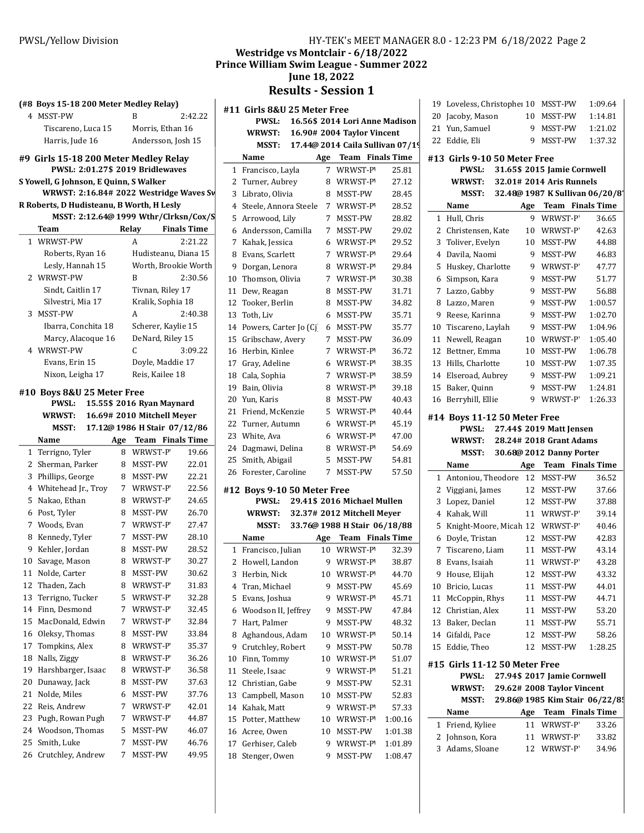## (#8 Boys 15-18 200 Meter Medley Relay)

| 4 MSST-PW          | R                  | 2.42.22 |
|--------------------|--------------------|---------|
| Tiscareno, Luca 15 | Morris, Ethan 16   |         |
| Harris, Jude 16    | Andersson, Josh 15 |         |

#### #9 Girls 15-18 200 Meter Medley Relay PWSL: 2:01.27\$ 2019 Bridlewaves

S Yowell, G Johnson, E Quinn, S Walker

WRWST:  $2:16.84$ # 2022 Westridge Waves Sv

| R Roberts, D Hudisteanu, B Worth, H Lesly |  |
|-------------------------------------------|--|
| MSST: 2:12.64@ 1999 Wthr/Clrksn/Cox/S     |  |

| M331: 2:12.04 U 1999 WHII / CH RSII/ COX/ 3 |       |                      |
|---------------------------------------------|-------|----------------------|
| Team                                        | Relay | <b>Finals Time</b>   |
| 1 WRWST-PW                                  | A     | 2:21.22              |
| Roberts, Ryan 16                            |       | Hudisteanu, Diana 15 |
| Lesly, Hannah 15                            |       | Worth, Brookie Worth |
| 2 WRWST-PW                                  | В     | 2:30.56              |
| Sindt, Caitlin 17                           |       | Tivnan, Riley 17     |
| Silvestri, Mia 17                           |       | Kralik, Sophia 18    |
| 3 MSST-PW                                   | А     | 2:40.38              |
| Ibarra, Conchita 18                         |       | Scherer, Kaylie 15   |
| Marcy, Alacoque 16                          |       | DeNard, Riley 15     |
| 4 WRWST-PW                                  | C     | 3:09.22              |
| Evans, Erin 15                              |       | Doyle, Maddie 17     |
| Nixon, Leigha 17                            |       | Reis, Kailee 18      |
|                                             |       |                      |

## #10 Boys 8&U 25 Meter Free

|    | <b>PWSL:</b>        |             | 15.55\$ 2016 Ryan Maynard    |       |
|----|---------------------|-------------|------------------------------|-------|
|    | <b>WRWST:</b>       |             | 16.69# 2010 Mitchell Mever   |       |
|    | <b>MSST:</b>        |             | 17.12@ 1986 H Stair 07/12/86 |       |
|    | Name                | Age         | <b>Team</b> Finals Time      |       |
| 1  | Terrigno, Tyler     | 8           | WRWST-P                      | 19.66 |
| 2  | Sherman, Parker     | 8           | MSST-PW                      | 22.01 |
| 3  | Phillips, George    | 8           | MSST-PW                      | 22.21 |
| 4  | Whitehead Jr., Troy | $7^{\circ}$ | WRWST-P                      | 22.56 |
| 5  | Nakao, Ethan        | 8           | WRWST-P                      | 24.65 |
| 6  | Post, Tyler         | 8           | MSST-PW                      | 26.70 |
| 7  | Woods, Evan         | 7           | WRWST-P                      | 27.47 |
| 8  | Kennedy, Tyler      | 7           | MSST-PW                      | 28.10 |
| 9  | Kehler, Jordan      | 8           | MSST-PW                      | 28.52 |
| 10 | Savage, Mason       | 8           | WRWST-P                      | 30.27 |
| 11 | Nolde, Carter       | 8           | MSST-PW                      | 30.62 |
| 12 | Thaden, Zach        | 8           | WRWST-P                      | 31.83 |
| 13 | Terrigno, Tucker    | 5           | WRWST-P                      | 32.28 |
| 14 | Finn, Desmond       | 7           | WRWST-P                      | 32.45 |
| 15 | MacDonald, Edwin    | 7           | WRWST-P                      | 32.84 |
| 16 | Oleksy, Thomas      | 8           | MSST-PW                      | 33.84 |
| 17 | Tompkins, Alex      | 8           | WRWST-P                      | 35.37 |
| 18 | Nalls, Ziggy        | 8           | WRWST-P                      | 36.26 |
| 19 | Harshbarger, Isaac  | 8           | WRWST-P                      | 36.58 |
| 20 | Dunaway, Jack       | 8           | MSST-PW                      | 37.63 |
| 21 | Nolde, Miles        | 6           | MSST-PW                      | 37.76 |
| 22 | Reis, Andrew        | 7           | WRWST-P                      | 42.01 |
| 23 | Pugh, Rowan Pugh    | 7           | WRWST-P                      | 44.87 |
| 24 | Woodson, Thomas     | 5           | MSST-PW                      | 46.07 |
| 25 | Smith, Luke         | 7           | MSST-PW                      | 46.76 |

26 Crutchley, Andrew 7 MSST-PW 49.95

| 111 - 1 EK 5 MEET MARAGER 0.0 - 1               |
|-------------------------------------------------|
| Westridge vs Montclair - 6/18/2022              |
| <b>Prince William Swim League - Summer 2022</b> |
| <b>June 18, 2022</b>                            |

## Results - Session 1

|    | #11 Girls 8&U 25 Meter Free             |                |                                  |         | $1^{\circ}$<br>2 |
|----|-----------------------------------------|----------------|----------------------------------|---------|------------------|
|    | 16.56\$ 2014 Lori Anne Madison<br>PWSL: |                |                                  |         |                  |
|    | <b>WRWST:</b>                           |                | 16.90# 2004 Taylor Vincent       |         | 2                |
|    | MSST:                                   |                | 17.44@ 2014 Caila Sullivan 07/19 |         | 2                |
|    | Name                                    |                | Age Team Finals Time             |         | #1               |
| 1  | Francisco, Layla                        | 7              | WRWST-P'                         | 25.81   |                  |
| 2  | Turner, Aubrey                          | 8              | WRWST-P                          | 27.12   |                  |
| 3  | Librato, Olivia                         | 8              | MSST-PW                          | 28.45   |                  |
| 4  | Steele, Annora Steele                   | 7              | WRWST-P                          | 28.52   |                  |
| 5  | Arrowood, Lily                          | 7              | MSST-PW                          | 28.82   |                  |
| 6  | Andersson, Camilla                      | 7              | MSST-PW                          | 29.02   |                  |
| 7  | Kahak, Jessica                          | 6              | WRWST-P                          | 29.52   |                  |
| 8  | Evans, Scarlett                         | 7              | WRWST-P                          | 29.64   |                  |
| 9  | Dorgan, Lenora                          | 8              | WRWST-P                          | 29.84   |                  |
| 10 | Thomson, Olivia                         | 7              | WRWST-P                          | 30.38   |                  |
| 11 | Dew, Reagan                             | 8              | MSST-PW                          | 31.71   |                  |
| 12 | Tooker, Berlin                          | 8              | MSST-PW                          | 34.82   |                  |
| 13 | Toth, Liv                               | 6              | MSST-PW                          | 35.71   |                  |
| 14 | Powers, Carter Jo (Cj                   | 6              | MSST-PW                          | 35.77   | $1\,$            |
| 15 | Gribschaw, Avery                        | 7              | MSST-PW                          | 36.09   | 1                |
| 16 | Herbin, Kinlee                          | $7^{\circ}$    | WRWST-P                          | 36.72   | $\mathbf{1}$     |
| 17 | Gray, Adeline                           | 6              | WRWST-P                          | 38.35   | $1\overline{ }$  |
|    | 18 Cala, Sophia                         | 7              | WRWST-P'                         | 38.59   | 1                |
|    | 19 Bain, Olivia                         | 8              | WRWST-P                          | 39.18   | 1                |
|    | 20 Yun, Karis                           | 8              | MSST-PW                          | 40.43   | $1\,$            |
| 21 | Friend, McKenzie                        | 5.             | WRWST-P                          | 40.44   | #1               |
| 22 | Turner, Autumn                          | 6              | WRWST-P                          | 45.19   |                  |
| 23 | White, Ava                              | 6              | WRWST-P                          | 47.00   |                  |
| 24 | Dagmawi, Delina                         | 8              | WRWST-P                          | 54.69   |                  |
| 25 | Smith, Abigail                          | 5              | MSST-PW                          | 54.81   |                  |
| 26 | Forester, Caroline                      | $\overline{7}$ | MSST-PW                          | 57.50   |                  |
|    | #12 Boys 9-10 50 Meter Free             |                |                                  |         |                  |
|    | <b>PWSL:</b>                            |                | 29.41\$ 2016 Michael Mullen      |         |                  |
|    | <b>WRWST:</b>                           |                | 32.37# 2012 Mitchell Meyer       |         |                  |
|    | MSST:                                   |                | 33.76@ 1988 H Stair 06/18/88     |         |                  |
|    | Name                                    | Age            | <b>Team</b> Finals Time          |         |                  |
|    | 1 Francisco, Julian                     | 10             | WRWST-P                          | 32.39   |                  |
| 2  | Howell, Landon                          | 9              | WRWST-P                          | 38.87   |                  |
| 3  | Herbin, Nick                            | 10             | WRWST-P'                         | 44.70   |                  |
| 4  | Tran, Michael                           | 9              | MSST-PW                          | 45.69   | $1\,$            |
| 5  | Evans, Joshua                           | 9              | WRWST-P'                         | 45.71   | 1                |
| 6  | Woodson II, Jeffrey                     | 9              | MSST-PW                          | 47.84   | $\mathbf{1}$     |
| 7  | Hart, Palmer                            | 9              | MSST-PW                          | 48.32   | $\mathbf{1}$     |
| 8  | Aghandous, Adam                         | 10             | WRWST-P'                         | 50.14   | 1                |
| 9  | Crutchley, Robert                       | 9              | MSST-PW                          | 50.78   | 1                |
| 10 | Finn, Tommy                             | 10             | WRWST-P'                         | 51.07   | #1               |
| 11 | Steele, Isaac                           | 9              | WRWST-P'                         | 51.21   |                  |
| 12 | Christian, Gabe                         | 9              | MSST-PW                          | 52.31   |                  |
| 13 | Campbell, Mason                         | 10             | MSST-PW                          | 52.83   |                  |
| 14 | Kahak, Matt                             | 9              | WRWST-P'                         | 57.33   |                  |
| 15 | Potter, Matthew                         | 10             | WRWST-P                          | 1:00.16 |                  |
| 16 | Acree, Owen                             | 10             | MSST-PW                          | 1:01.38 |                  |
| 17 | Gerhiser, Caleb                         | 9              | WRWST-P'                         | 1:01.89 |                  |
| 18 | Stenger, Owen                           | 9              | MSST-PW                          | 1:08.47 |                  |
|    |                                         |                |                                  |         |                  |

| 20                      | Jacoby, Mason                                 | 10  | MSST-PW                         | 1:14.81 |  |
|-------------------------|-----------------------------------------------|-----|---------------------------------|---------|--|
|                         | 21 Yun, Samuel                                | 9   | MSST-PW                         | 1:21.02 |  |
| 22                      | Eddie, Eli                                    | 9   | MSST-PW                         | 1:37.32 |  |
|                         | #13 Girls 9-10 50 Meter Free                  |     |                                 |         |  |
|                         | <b>PWSL:</b>                                  |     | 31.65\$ 2015 Jamie Cornwell     |         |  |
|                         | <b>WRWST:</b>                                 |     | 32.01# 2014 Aris Runnels        |         |  |
|                         | MSST:                                         |     | 32.48@ 1987 K Sullivan 06/20/8' |         |  |
|                         | Name                                          | Age | Team Finals Time                |         |  |
|                         | 1 Hull, Chris                                 | 9   | WRWST-P                         | 36.65   |  |
|                         | 2 Christensen, Kate                           |     | 10 WRWST-P                      | 42.63   |  |
| 3                       | Toliver, Evelyn                               | 10  | MSST-PW                         | 44.88   |  |
|                         | 4 Davila, Naomi                               | 9   | MSST-PW                         | 46.83   |  |
| 5                       | Huskey, Charlotte                             |     | 9 WRWST-P                       | 47.77   |  |
| 6                       | Simpson, Kara                                 | 9   | MSST-PW                         | 51.77   |  |
| 7                       | Lazzo, Gabby                                  | 9   | MSST-PW                         | 56.88   |  |
| 8                       | Lazzo, Maren                                  |     | 9 MSST-PW                       | 1:00.57 |  |
| 9                       | Reese, Karinna                                |     | 9 MSST-PW                       | 1:02.70 |  |
| 10                      | Tiscareno, Laylah                             |     | 9 MSST-PW                       | 1:04.96 |  |
|                         | 11 Newell, Reagan                             | 10  | WRWST-P                         | 1:05.40 |  |
|                         | 12 Bettner, Emma                              |     | 10 MSST-PW                      | 1:06.78 |  |
|                         | 13 Hills, Charlotte                           |     | 10 MSST-PW                      | 1:07.35 |  |
|                         | 14 Elseroad, Aubrey                           |     | 9 MSST-PW                       | 1:09.21 |  |
| 15                      | Baker, Quinn                                  |     | 9 MSST-PW                       | 1:24.81 |  |
| 16                      | Berryhill, Ellie                              | 9   | WRWST-P                         | 1:26.33 |  |
|                         | #14 Boys 11-12 50 Meter Free                  |     |                                 |         |  |
|                         | <b>PWSL:</b>                                  |     | 27.44\$ 2019 Matt Jensen        |         |  |
|                         | <b>WRWST:</b>                                 |     |                                 |         |  |
| 28.24# 2018 Grant Adams |                                               |     |                                 |         |  |
|                         | MSST: 30.68@ 2012 Danny Porter                |     |                                 |         |  |
|                         | Name                                          | Age | <b>Team</b> Finals Time         |         |  |
| $\mathbf{1}$            | Antoniou, Theodore                            |     | 12 MSST-PW                      | 36.52   |  |
|                         | 2 Viggiani, James                             |     | 12 MSST-PW                      | 37.66   |  |
| 3                       | Lopez, Daniel                                 |     | 12 MSST-PW                      | 37.88   |  |
|                         | 4 Kahak, Will                                 |     | 11 WRWST-P                      | 39.14   |  |
| 5                       | Knight-Moore, Micah 12 WRWST-P                |     |                                 | 40.46   |  |
| 6                       | Doyle, Tristan                                |     | 12 MSST-PW                      | 42.83   |  |
| 7                       | Tiscareno, Liam                               |     | 11 MSST-PW                      | 43.14   |  |
| 8                       | Evans, Isaiah                                 | 11  | WRWST-P                         | 43.28   |  |
| 9                       | House, Elijah                                 | 12  | MSST-PW                         | 43.32   |  |
| 10                      | Bricio, Lucas                                 | 11  | MSST-PW                         | 44.01   |  |
| 11                      | McCoppin, Rhys                                | 11  | MSST-PW                         | 44.71   |  |
| 12                      | Christian, Alex                               | 11  | MSST-PW                         | 53.20   |  |
| 13                      | Baker, Declan                                 | 11  | MSST-PW                         | 55.71   |  |
| 14                      | Gifaldi, Pace                                 | 12  | MSST-PW                         | 58.26   |  |
| 15                      | Eddie, Theo                                   | 12  | MSST-PW                         | 1:28.25 |  |
|                         |                                               |     |                                 |         |  |
|                         | #15 Girls 11-12 50 Meter Free<br><b>PWSL:</b> |     | 27.94\$ 2017 Jamie Cornwell     |         |  |
|                         | <b>WRWST:</b>                                 |     | 29.62# 2008 Taylor Vincent      |         |  |
|                         | MSST:                                         |     | 29.86@ 1985 Kim Stair 06/22/8!  |         |  |
|                         | Name                                          | Age | <b>Team</b> Finals Time         |         |  |
| 1                       | Friend, Kyliee                                | 11  | WRWST-P                         | 33.26   |  |

3 Adams, Sloane 12 WRWST-P 34.96

19 Loveless, Christopher 10 MSST-PW 1:09.64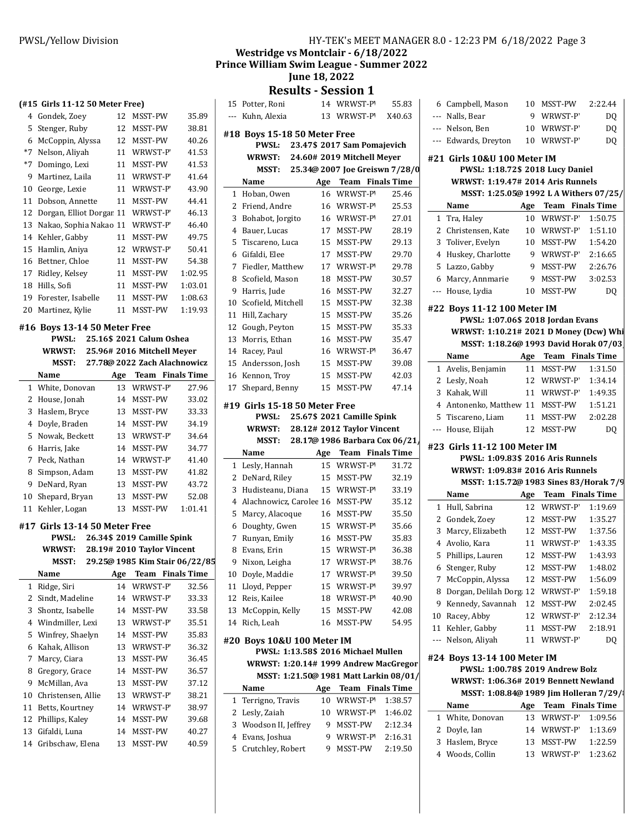## PWSL/Yellow Division **HY-TEK's MEET MANAGER 8.0 - 12:23 PM 6/18/2022** Page 3

Westridge vs Montclair - 6/18/2022

Prince William Swim League - Summer 2022

# June 18, 2022

Results - Session 1

|      | (#15 Girls 11-12 50 Meter Free)   |     |                                |         |
|------|-----------------------------------|-----|--------------------------------|---------|
|      | 4 Gondek, Zoey                    | 12  | MSST-PW                        | 35.89   |
| 5    | Stenger, Ruby                     | 12  | MSST-PW                        | 38.81   |
| 6    | McCoppin, Alyssa                  | 12  | MSST-PW                        | 40.26   |
| $*7$ | Nelson, Aliyah                    | 11  | WRWST-P                        | 41.53   |
| $*7$ | Domingo, Lexi                     | 11  | MSST-PW                        | 41.53   |
| 9    | Martinez, Laila                   | 11  | WRWST-P                        | 41.64   |
| 10   | George, Lexie                     | 11  | WRWST-P                        | 43.90   |
| 11   | Dobson, Annette                   | 11  | MSST-PW                        | 44.41   |
| 12   | Dorgan, Elliot Dorgar 11          |     | WRWST-P                        | 46.13   |
| 13   | Nakao, Sophia Nakao 11            |     | WRWST-P                        | 46.40   |
| 14   | Kehler, Gabby                     | 11  | MSST-PW                        | 49.75   |
| 15   | Hamlin, Aniya                     | 12  | WRWST-P                        | 50.41   |
| 16   | Bettner, Chloe                    | 11  | MSST-PW                        | 54.38   |
| 17   | Ridley, Kelsey                    | 11  | MSST-PW                        | 1:02.95 |
| 18   | Hills, Sofi                       | 11  | MSST-PW                        | 1:03.01 |
| 19   | Forester, Isabelle                | 11  | MSST-PW                        | 1:08.63 |
| 20   | Martinez, Kylie                   | 11  | MSST-PW                        | 1:19.93 |
|      |                                   |     |                                |         |
|      | #16 Boys 13-14 50 Meter Free      |     |                                |         |
|      | PWSL:                             |     | 25.16\$ 2021 Calum Oshea       |         |
|      | <b>WRWST:</b>                     |     | 25.96# 2016 Mitchell Meyer     |         |
|      | MSST:                             |     | 27.78@ 2022 Zach Alachnowicz   |         |
|      | Name                              |     | Age Team Finals Time           |         |
| 1    | White, Donovan                    | 13  | WRWST-P                        | 27.96   |
| 2    | House, Jonah                      | 14  | MSST-PW                        | 33.02   |
| 3    | Haslem, Bryce                     | 13  | MSST-PW                        | 33.33   |
| 4    | Doyle, Braden                     | 14  | MSST-PW                        | 34.19   |
| 5    | Nowak, Beckett                    | 13  | WRWST-P                        | 34.64   |
| 6    | Harris, Jake                      | 14  | MSST-PW                        | 34.77   |
| 7    | Peck, Nathan                      | 14  | WRWST-P                        | 41.40   |
| 8    | Simpson, Adam                     | 13  | MSST-PW                        | 41.82   |
| 9    | DeNard, Ryan                      | 13  | MSST-PW                        | 43.72   |
| 10   | Shepard, Bryan                    | 13  | MSST-PW                        | 52.08   |
|      |                                   |     |                                |         |
| 11   | Kehler, Logan                     | 13  | MSST-PW                        | 1:01.41 |
|      |                                   |     |                                |         |
|      | #17 Girls 13-14 50 Meter Free     |     |                                |         |
|      | PWSL:                             |     | 26.34\$ 2019 Camille Spink     |         |
|      | WRWST: 28.19# 2010 Taylor Vincent |     |                                |         |
|      | <b>MSST:</b>                      |     | 29.25@ 1985 Kim Stair 06/22/85 |         |
|      | Name                              | Age | <b>Team</b> Finals Time        |         |
| 1    | Ridge, Siri                       | 14  | WRWST-P                        | 32.56   |
| 2    | Sindt, Madeline                   | 14  | WRWST-P                        | 33.33   |
| 3    | Shontz, Isabelle                  | 14  | MSST-PW                        | 33.58   |
| 4    | Windmiller, Lexi                  | 13  | WRWST-P                        | 35.51   |
| 5    | Winfrey, Shaelyn                  | 14  | MSST-PW                        | 35.83   |
| 6    | Kahak, Allison                    | 13  | WRWST-P                        | 36.32   |
| 7    | Marcy, Ciara                      | 13  | MSST-PW                        | 36.45   |
| 8    | Gregory, Grace                    | 14  | MSST-PW                        | 36.57   |
| 9    | McMillan, Ava                     | 13  | MSST-PW                        | 37.12   |
| 10   | Christensen, Allie                | 13  | WRWST-P                        | 38.21   |
| 11   | Betts, Kourtney                   | 14  | WRWST-P                        | 38.97   |
| 12   | Phillips, Kaley                   | 14  | MSST-PW                        | 39.68   |
| 13   | Gifaldi, Luna                     | 14  | MSST-PW                        | 40.27   |

| 15  | Potter, Roni                                 |    | 14 WRWST-P'                            | 55.83   |   |
|-----|----------------------------------------------|----|----------------------------------------|---------|---|
| --- | Kuhn, Alexia                                 | 13 | WRWST-P'                               | X40.63  |   |
|     | #18 Boys 15-18 50 Meter Free<br><b>PWSL:</b> |    |                                        |         |   |
|     |                                              |    | 23.47\$ 2017 Sam Pomajevich            |         |   |
|     | WRWST:                                       |    | 24.60# 2019 Mitchell Meyer             |         | # |
|     |                                              |    | MSST: 25.34@ 2007 Joe Greiswn 7/28/0   |         |   |
|     | Name                                         |    | Age Team Finals Time                   |         |   |
| 1   | Hoban, Owen                                  | 16 | WRWST-P'                               | 25.46   |   |
| 2   | Friend, Andre                                |    | 16 WRWST-P'                            | 25.53   |   |
| 3   | Bohabot, Jorgito                             |    | 16 WRWST-P                             | 27.01   |   |
| 4   | Bauer, Lucas                                 |    | 17 MSST-PW                             | 28.19   |   |
| 5   | Tiscareno, Luca                              |    | 15 MSST-PW                             | 29.13   |   |
| 6   | Gifaldi, Elee                                | 17 | MSST-PW                                | 29.70   |   |
| 7   | Fiedler, Matthew                             | 17 | WRWST-P                                | 29.78   |   |
| 8   | Scofield, Mason                              | 18 | MSST-PW                                | 30.57   |   |
| 9   | Harris, Jude                                 | 16 | MSST-PW                                | 32.27   |   |
| 10  | Scofield, Mitchell                           | 15 | MSST-PW                                | 32.38   | # |
| 11  | Hill, Zachary                                | 15 | MSST-PW                                | 35.26   |   |
|     | 12 Gough, Peyton                             | 15 | MSST-PW                                | 35.33   |   |
| 13  | Morris, Ethan                                | 16 | MSST-PW                                | 35.47   |   |
|     | 14 Racey, Paul                               |    | 16 WRWST-P                             | 36.47   |   |
|     | 15 Andersson, Josh                           |    | 15 MSST-PW                             | 39.08   |   |
|     | 16 Kennon, Troy                              |    | 15 MSST-PW                             | 42.03   |   |
| 17  | Shepard, Benny                               |    | 15 MSST-PW                             | 47.14   |   |
|     | #19 Girls 15-18 50 Meter Free                |    |                                        |         |   |
|     | PWSL:                                        |    | 25.67\$ 2021 Camille Spink             |         |   |
|     | <b>WRWST:</b>                                |    | 28.12# 2012 Taylor Vincent             |         |   |
|     |                                              |    |                                        |         |   |
|     |                                              |    | MSST: 28.17@ 1986 Barbara Cox 06/21    |         |   |
|     | Name                                         |    | Age Team Finals Time                   |         | # |
| 1   | Lesly, Hannah                                |    | 15 WRWST-P'                            | 31.72   |   |
| 2   | DeNard, Riley                                |    | 15 MSST-PW                             | 32.19   |   |
| 3   | Hudisteanu, Diana                            |    | 15 WRWST-P                             | 33.19   |   |
| 4   | Alachnowicz, Carolee 16 MSST-PW              |    |                                        | 35.12   |   |
| 5   | Marcy, Alacoque                              |    | 16 MSST-PW                             | 35.50   |   |
| 6   | Doughty, Gwen                                |    | 15 WRWST-P                             | 35.66   |   |
| 7   | Runyan, Emily                                |    | 16 MSST-PW                             | 35.83   |   |
| 8   | Evans, Erin                                  | 15 | WRWST-P'                               | 36.38   |   |
| 9   | Nixon, Leigha                                | 17 | WRWST-P                                | 38.76   |   |
| 10  | Doyle, Maddie                                | 17 | WRWST-P'                               | 39.50   |   |
| 11  | Lloyd, Pepper                                | 15 | WRWST-P                                | 39.97   |   |
| 12  | Reis, Kailee                                 | 18 | WRWST-P'                               | 40.90   |   |
| 13  | McCoppin, Kelly                              | 15 | MSST-PW                                | 42.08   |   |
| 14  | Rich, Leah                                   | 16 | MSST-PW                                | 54.95   |   |
|     |                                              |    |                                        |         |   |
|     | #20 Boys 10&U 100 Meter IM                   |    | PWSL: 1:13.58\$ 2016 Michael Mullen    |         |   |
|     | WRWST: 1:20.14# 1999 Andrew MacGregor        |    |                                        |         | # |
|     |                                              |    | MSST: 1:21.50@ 1981 Matt Larkin 08/01/ |         |   |
|     | Name                                         |    | Age Team Finals Time                   |         |   |
| 1   | Terrigno, Travis                             | 10 | WRWST-P'                               | 1:38.57 |   |
| 2   | Lesly, Zaiah                                 | 10 | WRWST-P'                               | 1:46.02 |   |
| 3   | Woodson II, Jeffrey                          | 9  | MSST-PW                                | 2:12.34 |   |
| 4   | Evans, Joshua                                | 9  | WRWST-P'                               | 2:16.31 |   |
| 5   | Crutchley, Robert                            | 9  | MSST-PW                                | 2:19.50 |   |

|             | 6 Campbell, Mason                                                |     | 10 MSST-PW              | 2:22.44            |
|-------------|------------------------------------------------------------------|-----|-------------------------|--------------------|
|             | --- Nalls, Bear                                                  | 9   | WRWST-P                 | DQ                 |
|             | --- Nelson, Ben                                                  |     | 10 WRWST-P              | DQ                 |
|             | --- Edwards, Dreyton                                             |     | 10 WRWST-P              | DQ                 |
|             |                                                                  |     |                         |                    |
|             | #21 Girls 10&U 100 Meter IM                                      |     |                         |                    |
|             | PWSL: 1:18.72\$ 2018 Lucy Daniel                                 |     |                         |                    |
|             | WRWST: 1:19.47# 2014 Aris Runnels                                |     |                         |                    |
|             | MSST: 1:25.05@ 1992 LA Withers 07/25/                            |     |                         |                    |
|             | Name                                                             |     | Age Team Finals Time    |                    |
|             | 1 Tra, Haley                                                     | 10  | WRWST-P`                | 1:50.75            |
|             | 2 Christensen, Kate                                              |     | 10 WRWST-P              | 1:51.10            |
|             | 3 Toliver, Evelyn                                                |     | 10 MSST-PW              | 1:54.20            |
|             | 4 Huskey, Charlotte                                              |     | 9 WRWST-P               | 2:16.65            |
|             | 5 Lazzo, Gabby                                                   | 9   | MSST-PW                 | 2:26.76            |
|             | 6 Marcy, Annmarie                                                | 9   | MSST-PW                 | 3:02.53            |
|             | --- House, Lydia                                                 |     | 10 MSST-PW              | DQ                 |
|             |                                                                  |     |                         |                    |
|             | #22 Boys 11-12 100 Meter IM<br>PWSL: 1:07.06\$ 2018 Jordan Evans |     |                         |                    |
|             | WRWST: 1:10.21# 2021 D Money (Dcw) Whi                           |     |                         |                    |
|             | MSST: 1:18.26@ 1993 David Horak 07/03                            |     |                         |                    |
|             | Name                                                             |     | Age Team Finals Time    |                    |
|             | 1 Avelis, Benjamin                                               |     | 11 MSST-PW              | 1:31.50            |
|             |                                                                  |     | 12 WRWST-P              | 1:34.14            |
| 3           | 2 Lesly, Noah                                                    |     | 11 WRWST-P              |                    |
|             | Kahak, Will                                                      |     |                         | 1:49.35            |
|             | 4 Antonenko, Matthew 11 MSST-PW                                  |     |                         | 1:51.21            |
|             | 5 Tiscareno, Liam                                                |     | 11 MSST-PW              | 2:02.28            |
|             | --- House, Elijah                                                |     | 12 MSST-PW              | DQ                 |
|             |                                                                  |     |                         |                    |
|             | #23 Girls 11-12 100 Meter IM                                     |     |                         |                    |
|             | PWSL: 1:09.83\$ 2016 Aris Runnels                                |     |                         |                    |
|             | WRWST: 1:09.83# 2016 Aris Runnels                                |     |                         |                    |
|             | MSST: 1:15.72@ 1983 Sines 83/Horak 7/9                           |     |                         |                    |
|             | Name                                                             |     | Age Team Finals Time    |                    |
|             | 1 Hull, Sabrina                                                  |     | 12 WRWST-P              | 1:19.69            |
|             | 2 Gondek, Zoev                                                   |     | 12 MSST-PW              | 1:35.27            |
| 3           | Marcy, Elizabeth                                                 |     | 12 MSST-PW              | 1:37.56            |
|             | 4 Avolio, Kara                                                   |     | 11 WRWST-P              | 1:43.35            |
| 5           | Phillips, Lauren                                                 |     | 12 MSST-PW              | 1:43.93            |
|             | 6 Stenger, Ruby                                                  | 12  | MSST-PW                 | 1:48.02            |
| 7.          | McCoppin, Alyssa                                                 | 12  | MSST-PW                 | 1:56.09            |
| 8           | Dorgan, Delilah Dorg 12                                          |     | WRWST-P                 |                    |
| 9           | Kennedy, Savannah                                                | 12  | MSST-PW                 | 1:59.18<br>2:02.45 |
|             |                                                                  |     | WRWST-P                 |                    |
| 10          | Racey, Abby                                                      | 12  |                         | 2:12.34            |
| 11<br>---   | Kehler, Gabby                                                    | 11  | MSST-PW                 | 2:18.91            |
|             | Nelson, Aliyah                                                   | 11  | WRWST-P                 | DQ                 |
|             | #24 Boys 13-14 100 Meter IM                                      |     |                         |                    |
|             | PWSL: 1:00.78\$ 2019 Andrew Bolz                                 |     |                         |                    |
|             | WRWST: 1:06.36# 2019 Bennett Newland                             |     |                         |                    |
|             | MSST: 1:08.84@ 1989 Jim Holleran 7/29/                           |     |                         |                    |
|             | Name                                                             | Age | <b>Team</b> Finals Time |                    |
| $\mathbf 1$ | White, Donovan                                                   | 13  | WRWST-P                 | 1:09.56            |
| 2           | Doyle, Ian                                                       | 14  | WRWST-P                 | 1:13.69            |
| 3           | Haslem, Bryce                                                    | 13  | MSST-PW                 | 1:22.59            |
|             | 4 Woods, Collin                                                  |     | 13 WRWST-P              | 1:23.62            |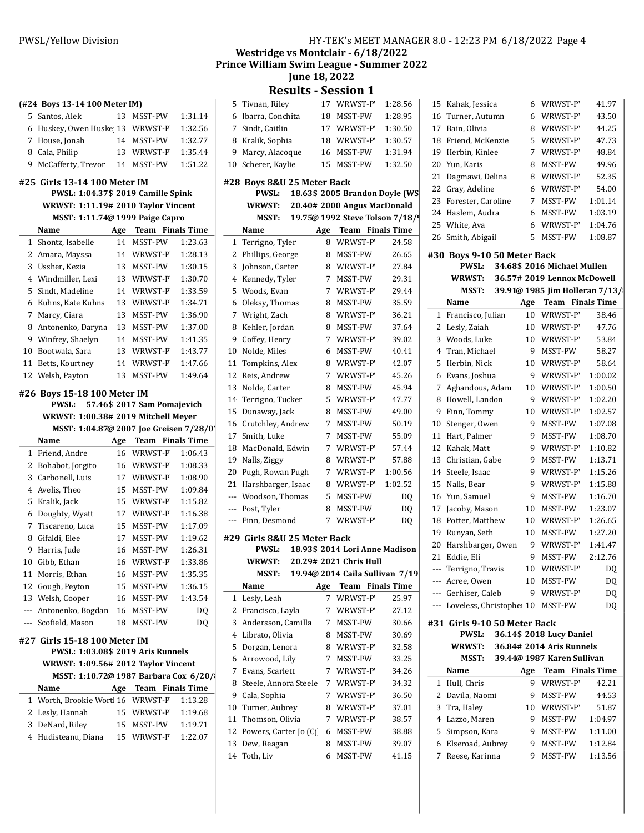#### (#24 Boys 13-14 100 Meter IM)

| 5 Santos, Alek                  |    | 13 MSST-PW | 1:31.14 |
|---------------------------------|----|------------|---------|
| 6 Huskey, Owen Huske 13 WRWST-P |    |            | 1:32.56 |
| 7 House, Jonah                  |    | 14 MSST-PW | 1:32.77 |
| 8 Cala, Philip                  |    | 13 WRWST-P | 1:35.44 |
| 9 McCafferty, Trevor            | 14 | MSST-PW    | 1:51.22 |

#### #25 Girls 13-14 100 Meter IM

PWSL: 1:04.37\$ 2019 Camille Spink WRWST: 1:11.19# 2010 Taylor Vincent

L.

| $\ldots$                        |  |  |
|---------------------------------|--|--|
| MSST: 1.11 74@ 1999 Paige Canro |  |  |

| $1.10011$ and all $1.0011$ and $1.0011$ and $1.0011$ and $1.0011$ and $1.0011$ and $1.0011$ and $1.0011$ and $1.0011$ and $1.0011$ and $1.0011$ and $1.0011$ and $1.0011$ and $1.0011$ and $1.0011$ and $1.0011$ and $1.0011$ |                    |     |                         |         |  |
|-------------------------------------------------------------------------------------------------------------------------------------------------------------------------------------------------------------------------------|--------------------|-----|-------------------------|---------|--|
| Name                                                                                                                                                                                                                          |                    | Age | <b>Team</b> Finals Time |         |  |
|                                                                                                                                                                                                                               | 1 Shontz, Isabelle | 14  | <b>MSST-PW</b>          | 1:23.63 |  |
| 2                                                                                                                                                                                                                             | Amara, Mayssa      | 14  | WRWST-P                 | 1:28.13 |  |
| 3                                                                                                                                                                                                                             | Ussher, Kezia      | 13  | <b>MSST-PW</b>          | 1:30.15 |  |
|                                                                                                                                                                                                                               | 4 Windmiller, Lexi | 13  | WRWST-P                 | 1:30.70 |  |
| 5.                                                                                                                                                                                                                            | Sindt, Madeline    | 14  | WRWST-P                 | 1:33.59 |  |
| 6                                                                                                                                                                                                                             | Kuhns, Kate Kuhns  | 13  | WRWST-P                 | 1:34.71 |  |
| 7                                                                                                                                                                                                                             | Marcy, Ciara       | 13  | <b>MSST-PW</b>          | 1:36.90 |  |
| 8                                                                                                                                                                                                                             | Antonenko, Daryna  | 13  | <b>MSST-PW</b>          | 1:37.00 |  |
| 9                                                                                                                                                                                                                             | Winfrey, Shaelyn   | 14  | <b>MSST-PW</b>          | 1:41.35 |  |
| 10                                                                                                                                                                                                                            | Bootwala, Sara     | 13  | WRWST-P                 | 1:43.77 |  |
| 11                                                                                                                                                                                                                            | Betts, Kourtnev    | 14  | WRWST-P                 | 1:47.66 |  |
|                                                                                                                                                                                                                               | 12 Welsh, Pavton   | 13  | <b>MSST-PW</b>          | 1:49.64 |  |

#### #26 Boys 15-18 100 Meter IM

PWSL: 57.46\$ 2017 Sam Pomajevich WRWST: 1:00.38# 2019 Mitchell Meyer MSST: 1:04.87@ 2007 Joe Greisen 7/28/0 Name Age Team Finals Time 1 Friend, Andre 16 WRWST-P 1:06.43 2 Bohabot, Jorgito 16 WRWST-P 1:08.33 3 Carbonell, Luis 17 WRWST-P 1:08.90 4 Avelis, Theo 15 MSST-PW 1:09.84 5 Kralik, Jack 15 WRWST-P 1:15.82 6 Doughty, Wyatt 17 WRWST-P 1:16.38 7 Tiscareno, Luca 15 MSST-PW 1:17.09 8 Gifaldi, Elee 17 MSST-PW 1:19.62 9 Harris, Jude 16 MSST-PW 1:26.31 10 Gibb, Ethan 16 WRWST-P 1:33.86 11 Morris, Ethan 16 MSST-PW 1:35.35 12 Gough, Peyton 15 MSST-PW 1:36.15 13 Welsh, Cooper 16 MSST-PW 1:43.54 --- Antonenko, Bogdan 16 MSST-PW DQ --- Scofield, Mason 18 MSST-PW DO #27 Girls 15-18 100 Meter IM PWSL: 1:03.08\$ 2019 Aris Runnels WRWST: 1:09.56# 2012 Taylor Vincent MSST: 1:10.72@ 1987 Barbara Cox 6/20/ Name Age Team Finals Time 1 Worth, Brookie Wort 16 WRWST-P 1:13.28 2 Lesly, Hannah 15 WRWST-P 1:19.68<br>3 DeNard Riley 15 MSST-PW 1:19.71 2. DeNard, Riley

| 3 Delvaru, Niley    | TJ MJJJI-LAM | 1.17.71 |
|---------------------|--------------|---------|
| 4 Hudisteanu, Diana | 15 WRWST-P   | 1:22.07 |

## PWSL/Yellow Division **HY-TEK's MEET MANAGER 8.0 - 12:23 PM 6/18/2022** Page 4

Westridge vs Montclair - 6/18/2022 Prince William Swim League - Summer 2022

June 18, 2022

# Results - Session 1

| 5     | Tivnan, Riley               | 17  | WRWST-P'                        | 1:28.56 | I                        |
|-------|-----------------------------|-----|---------------------------------|---------|--------------------------|
| 6     | Ibarra, Conchita            | 18  | MSST-PW                         | 1:28.95 |                          |
| 7     | Sindt, Caitlin              | 17  | WRWST-P'                        | 1:30.50 |                          |
| 8     | Kralik, Sophia              | 18  | WRWST-P'                        | 1:30.57 | 1                        |
| 9     | Marcy, Alacoque             | 16  | MSST-PW                         | 1:31.94 | I                        |
| 10    | Scherer, Kaylie             | 15  | MSST-PW                         | 1:32.50 | í                        |
|       |                             |     |                                 |         | $\overline{\phantom{a}}$ |
|       | #28 Boys 8&U 25 Meter Back  |     |                                 |         | $\overline{\phantom{a}}$ |
|       | PWSL:                       |     | 18.63\$ 2005 Brandon Doyle (WS  |         | í                        |
|       | <b>WRWST:</b>               |     | 20.40# 2000 Angus MacDonald     |         | $\overline{\phantom{a}}$ |
|       | MSST:                       |     | 19.75@ 1992 Steve Tolson 7/18/9 |         |                          |
|       | Name                        |     | Age Team Finals Time            |         |                          |
| 1     | Terrigno, Tyler             | 8   | WRWST-P'                        | 24.58   |                          |
| 2     | Phillips, George            | 8   | MSST-PW                         | 26.65   | #                        |
| 3     | Johnson, Carter             | 8   | WRWST-P'                        | 27.84   |                          |
| 4     | Kennedy, Tyler              | 7   | MSST-PW                         | 29.31   |                          |
| 5     | Woods, Evan                 | 7   | WRWST-P'                        | 29.44   |                          |
| 6     | Oleksy, Thomas              | 8   | MSST-PW                         | 35.59   |                          |
| 7     | Wright, Zach                | 8   | WRWST-P'                        | 36.21   |                          |
| 8     | Kehler, Jordan              | 8   | MSST-PW                         | 37.64   |                          |
| 9     | Coffey, Henry               | 7   | WRWST-P                         | 39.02   |                          |
| 10    | Nolde, Miles                | 6   | MSST-PW                         | 40.41   |                          |
| 11    | Tompkins, Alex              | 8   | WRWST-P'                        | 42.07   |                          |
| 12    | Reis, Andrew                | 7   | WRWST-P                         | 45.26   |                          |
| 13    | Nolde, Carter               | 8   | MSST-PW                         | 45.94   |                          |
|       | 14 Terrigno, Tucker         | 5   | WRWST-P                         | 47.77   |                          |
| 15    | Dunaway, Jack               | 8   | MSST-PW                         | 49.00   |                          |
| 16    | Crutchley, Andrew           | 7   | MSST-PW                         | 50.19   | I                        |
| 17    | Smith, Luke                 | 7   | MSST-PW                         | 55.09   | 1                        |
| 18    | MacDonald, Edwin            | 7   | WRWST-P'                        | 57.44   | 1                        |
| 19    | Nalls, Ziggy                | 8   | WRWST-P'                        | 57.88   | I                        |
| 20    | Pugh, Rowan Pugh            | 7   | WRWST-P                         | 1:00.56 | 1                        |
| 21    | Harshbarger, Isaac          | 8   | WRWST-P'                        | 1:02.52 | 1                        |
| $---$ | Woodson, Thomas             | 5   | MSST-PW                         | DQ      | 1                        |
|       | --- Post, Tyler             | 8   | MSST-PW                         | DQ      | 1                        |
| ---   | Finn, Desmond               | 7   | WRWST-P                         | DQ      | 1                        |
|       | #29 Girls 8&U 25 Meter Back |     |                                 |         | I                        |
|       | <b>PWSL:</b>                |     | 18.93\$ 2014 Lori Anne Madison  |         | í                        |
|       | <b>WRWST:</b>               |     | 20.29# 2021 Chris Hull          |         |                          |
|       | MSST:                       |     | 19.94@ 2014 Caila Sullivan 7/19 |         |                          |
|       | Name                        | Age | Team Finals Time                |         |                          |
| 1     | Lesly, Leah                 | 7   | WRWST-P'                        | 25.97   |                          |
| 2     | Francisco, Layla            | 7   | WRWST-P                         | 27.12   |                          |
| 3     | Andersson, Camilla          | 7   | MSST-PW                         | 30.66   | #                        |
| 4     | Librato, Olivia             | 8   | MSST-PW                         | 30.69   |                          |
| 5     | Dorgan, Lenora              | 8   | WRWST-P'                        | 32.58   |                          |
| 6     | Arrowood, Lily              | 7   | MSST-PW                         | 33.25   |                          |
| 7     | Evans, Scarlett             | 7   | WRWST-P'                        | 34.26   |                          |
| 8     | Steele, Annora Steele       | 7   | WRWST-P'                        | 34.32   |                          |
| 9     | Cala, Sophia                | 7   | WRWST-P'                        | 36.50   |                          |
| 10    | Turner, Aubrey              | 8   | WRWST-P'                        | 37.01   |                          |
| 11    | Thomson, Olivia             | 7   | WRWST-P                         | 38.57   |                          |
| 12    | Powers, Carter Jo (Cj)      | 6   | MSST-PW                         | 38.88   |                          |
| 13    | Dew, Reagan                 | 8   | MSST-PW                         | 39.07   |                          |
|       | 14 Toth, Liv                | 6   | MSST-PW                         | 41.15   |                          |

|     | 15 Kahak, Jessica     | 6  | WRWST-P        | 41.97   |
|-----|-----------------------|----|----------------|---------|
|     | 16 Turner, Autumn     | 6  | WRWST-P        | 43.50   |
| 17  | Bain, Olivia          | 8  | WRWST-P        | 44.25   |
| 18  | Friend, McKenzie      | 5. | WRWST-P        | 47.73   |
| 19. | Herbin, Kinlee        | 7  | WRWST-P        | 48.84   |
|     | 20 Yun, Karis         | 8  | <b>MSST-PW</b> | 49.96   |
|     | 21 Dagmawi, Delina    | 8  | WRWST-P        | 52.35   |
|     | 22 Gray, Adeline      | 6  | WRWST-P        | 54.00   |
|     | 23 Forester, Caroline |    | <b>MSST-PW</b> | 1:01.14 |
|     | 24 Haslem, Audra      | 6  | <b>MSST-PW</b> | 1:03.19 |
|     | 25 White, Ava         | 6  | WRWST-P        | 1:04.76 |
|     | 26 Smith, Abigail     | 5  | <b>MSST-PW</b> | 1:08.87 |
|     |                       |    |                |         |

#### #30 Boys 9-10 50 Meter Back PWSL: 34.68\$ 2016 Michael Mullen

WRWST: 36.57# 2019 Lennox McDowell

|                              | <b>MSST:</b>             |                 | 39.91@ 1985 Jim Holleran 7/13/ |         |
|------------------------------|--------------------------|-----------------|--------------------------------|---------|
|                              | Name                     | Age             | <b>Team</b> Finals Time        |         |
| $\mathbf{1}$                 | Francisco, Julian        | 10              | WRWST-P                        | 38.46   |
| 2                            | Lesly, Zaiah             | 10              | WRWST-P                        | 47.76   |
| 3                            | Woods, Luke              | 10 <sup>1</sup> | WRWST-P                        | 53.84   |
| 4                            | Tran, Michael            | 9               | MSST-PW                        | 58.27   |
| 5                            | Herbin, Nick             | 10              | WRWST-P                        | 58.64   |
| 6                            | Evans, Joshua            | 9               | WRWST-P                        | 1:00.02 |
| 7                            | Aghandous, Adam          | 10              | WRWST-P                        | 1:00.50 |
| 8                            | Howell, Landon           | 9               | WRWST-P                        | 1:02.20 |
| 9                            | Finn, Tommy              | 10              | WRWST-P                        | 1:02.57 |
| 10                           | Stenger, Owen            | 9               | MSST-PW                        | 1:07.08 |
| 11                           | Hart, Palmer             | 9               | MSST-PW                        | 1:08.70 |
| 12                           | Kahak, Matt              | 9               | WRWST-P                        | 1:10.82 |
| 13                           | Christian, Gabe          | 9               | MSST-PW                        | 1:13.71 |
| 14                           | Steele, Isaac            | 9               | WRWST-P                        | 1:15.26 |
| 15 <sup>1</sup>              | Nalls, Bear              | 9               | WRWST-P                        | 1:15.88 |
| 16                           | Yun, Samuel              | 9               | MSST-PW                        | 1:16.70 |
| 17                           | Jacoby, Mason            | 10              | MSST-PW                        | 1:23.07 |
| 18                           | Potter, Matthew          | 10              | WRWST-P                        | 1:26.65 |
| 19                           | Runyan, Seth             | 10              | MSST-PW                        | 1:27.20 |
| 20                           | Harshbarger, Owen        | 9               | WRWST-P                        | 1:41.47 |
| 21                           | Eddie, Eli               | 9               | MSST-PW                        | 2:12.76 |
| $---$                        | Terrigno, Travis         | 10              | WRWST-P                        | DQ      |
| ---                          | Acree, Owen              | 10              | MSST-PW                        | DQ      |
| ---                          | Gerhiser, Caleb          | 9               | WRWST-P                        | DQ      |
| ---                          | Loveless, Christophe: 10 |                 | MSST-PW                        | DQ      |
| #31 Girls 9-10 50 Meter Back |                          |                 |                                |         |

## PWSL: 36.14\$ 2018 Lucy Daniel WRWST: 36.84# 2014 Aris Runnels MSST: 39.44@ 1987 Karen Sullivan Name Age Team Finals Time 1 Hull, Chris 9 WRWST-P 42.21 2 Davila, Naomi 9 MSST-PW 44.53 3 Tra, Haley 10 WRWST-P 51.87 4 Lazzo, Maren 9 MSST-PW 1:04.97 5 Simpson, Kara 9 MSST-PW 1:11.00 6 Elseroad, Aubrey 9 MSST-PW 1:12.84 7 Reese Karinna 9 MSST-PW 1:13.56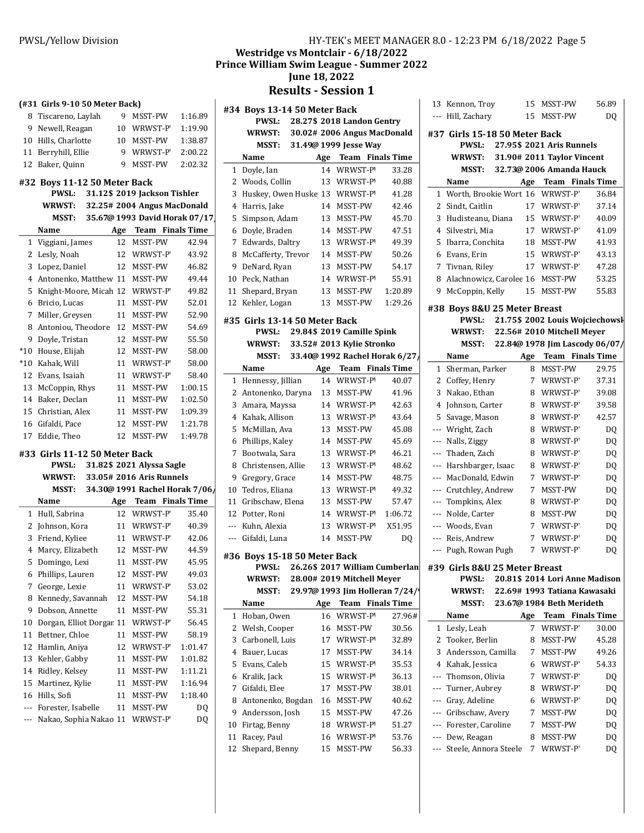# PWSL/Yellow Division **HY-TEK's MEET MANAGER 8.0 - 12:23 PM 6/18/2022** Page 5

## Westridge vs Montclair - 6/18/2022 Prince William Swim League - Summer 2022

June 18, 2022

Results - Session 1

|                | (#31 Girls 9-10 50 Meter Back) |     |                               |         | # |
|----------------|--------------------------------|-----|-------------------------------|---------|---|
| 8              | Tiscareno, Laylah              | 9   | MSST-PW                       | 1:16.89 |   |
| 9              | Newell, Reagan                 |     | 10 WRWST-P                    | 1:19.90 |   |
|                | 10 Hills, Charlotte            | 10  | MSST-PW                       | 1:38.87 |   |
|                | 11 Berryhill, Ellie            |     | 9 WRWST-P                     | 2:00.22 |   |
| 12             | Baker, Quinn                   | 9   | MSST-PW                       | 2:02.32 |   |
|                | #32 Boys 11-12 50 Meter Back   |     |                               |         |   |
|                | <b>PWSL:</b>                   |     | 31.12\$ 2019 Jackson Tishler  |         |   |
|                | <b>WRWST:</b>                  |     | 32.25# 2004 Angus MacDonald   |         |   |
|                | MSST:                          |     | 35.67@ 1993 David Horak 07/17 |         |   |
|                | Name                           |     | Age Team Finals Time          |         |   |
| 1              | Viggiani, James                | 12  | MSST-PW                       | 42.94   |   |
| 2              | Lesly, Noah                    |     | 12 WRWST-P                    | 43.92   |   |
| 3              | Lopez, Daniel                  |     | 12 MSST-PW                    | 46.82   |   |
| 4              | Antonenko, Matthew 11 MSST-PW  |     |                               | 49.44   | Í |
| 5              | Knight-Moore, Micah 12 WRWST-P |     |                               | 49.82   |   |
| 6              | Bricio, Lucas                  | 11  | MSST-PW                       | 52.01   | Í |
| 7              | Miller, Greysen                | 11  | MSST-PW                       | 52.90   |   |
| 8              | Antoniou, Theodore 12          |     | MSST-PW                       | 54.69   | # |
| 9              | Doyle, Tristan                 | 12  | MSST-PW                       | 55.50   |   |
| $*10$          | House, Elijah                  | 12  | MSST-PW                       | 58.00   |   |
| $*10$          | Kahak, Will                    | 11  | WRWST-P                       | 58.00   |   |
| 12             | Evans, Isaiah                  | 11  | WRWST-P                       | 58.40   |   |
| 13             | McCoppin, Rhys                 | 11  | MSST-PW                       | 1:00.15 |   |
|                | 14 Baker, Declan               | 11  | MSST-PW                       | 1:02.50 |   |
|                | 15 Christian, Alex             | 11  | MSST-PW                       | 1:09.39 |   |
|                | 16 Gifaldi, Pace               | 12  | MSST-PW                       | 1:21.78 |   |
| 17             | Eddie, Theo                    | 12  | MSST-PW                       | 1:49.78 |   |
|                | #33 Girls 11-12 50 Meter Back  |     |                               |         |   |
|                | PWSL:                          |     | 31.82\$ 2021 Alyssa Sagle     |         |   |
|                | WRWST:                         |     | 33.05# 2016 Aris Runnels      |         |   |
|                | MSST:                          |     | 34.30@ 1991 Rachel Horak 7/06 |         |   |
|                | Name                           | Age | Team Finals Time              |         |   |
| 1              | Hull, Sabrina                  | 12  | WRWST-P                       | 35.40   |   |
| 2              | Johnson, Kora                  |     | 11 WRWST-P                    | 40.39   |   |
| 3              | Friend, Kyliee                 | 11  | WRWST-P                       | 42.06   |   |
| $\overline{4}$ | Marcy, Elizabeth               |     | 12 MSST-PW                    | 44.59   |   |
| 5              | Domingo, Lexi                  | 11  | MSST-PW                       | 45.95   | # |
| 6              | Phillips, Lauren               | 12  | MSST-PW                       | 49.03   |   |
| 7              | George, Lexie                  | 11  | WRWST-P                       | 53.02   |   |
| 8              | Kennedy, Savannah              | 12  | MSST-PW                       | 54.18   |   |
| 9              | Dobson, Annette                | 11  | MSST-PW                       | 55.31   |   |
| 10             | Dorgan, Elliot Dorgar          | 11  | WRWST-P                       | 56.45   |   |
| 11             | Bettner, Chloe                 | 11  | MSST-PW                       | 58.19   |   |
| 12             | Hamlin, Aniya                  | 12  | WRWST-P                       | 1:01.47 |   |
| 13             | Kehler, Gabby                  | 11  | MSST-PW                       | 1:01.82 |   |
| 14             | Ridley, Kelsey                 | 11  | MSST-PW                       | 1:11.21 |   |
| 15             | Martinez, Kylie                | 11  | MSST-PW                       | 1:16.94 |   |
| 16             | Hills, Sofi                    | 11  | MSST-PW                       | 1:18.40 |   |
| ---            | Forester, Isabelle             | 11  | MSST-PW                       | DQ      |   |
| ---            | Nakao, Sophia Nakao 11         |     | WRWST-P                       | DQ      |   |
|                |                                |     |                               |         |   |

|     | #34 Boys 13-14 50 Meter Back          |     |                                |         |
|-----|---------------------------------------|-----|--------------------------------|---------|
|     | <b>PWSL:</b>                          |     | 28.27\$ 2018 Landon Gentry     |         |
|     | <b>WRWST:</b>                         |     | 30.02# 2006 Angus MacDonald    |         |
|     | MSST:                                 |     | 31.49@ 1999 Jesse Way          |         |
|     | Name                                  |     | Age Team Finals Time           |         |
| 1   | Doyle, Ian                            | 14  | WRWST-P'                       | 33.28   |
| 2   | Woods, Collin                         | 13  | WRWST-P'                       | 40.88   |
| 3   | Huskey, Owen Huske 13 WRWST-P         |     |                                | 41.28   |
| 4   | Harris, Jake                          | 14  | MSST-PW                        | 42.46   |
| 5   | Simpson, Adam                         |     | 13 MSST-PW                     | 45.70   |
| 6   | Doyle, Braden                         |     | 14 MSST-PW                     | 47.51   |
| 7   | Edwards, Daltry                       |     | 13 WRWST-P                     | 49.39   |
| 8   | McCafferty, Trevor                    |     | 14 MSST-PW                     | 50.26   |
| 9   | DeNard, Ryan                          | 13  | MSST-PW                        | 54.17   |
| 10  | Peck, Nathan                          |     | 14 WRWST-P                     | 55.91   |
| 11  | Shepard, Bryan                        |     | 13 MSST-PW                     | 1:20.89 |
| 12  | Kehler, Logan                         | 13  | MSST-PW                        | 1:29.26 |
|     | #35  Girls 13-14 50 Meter Back        |     | 29.84\$ 2019 Camille Spink     |         |
|     | PWSL:<br><b>WRWST:</b>                |     | 33.52# 2013 Kylie Stronko      |         |
|     | MSST:                                 |     | 33.40@ 1992 Rachel Horak 6/27  |         |
|     | Name                                  |     | Age Team Finals Time           |         |
| 1   | Hennessy, Jillian                     | 14  | WRWST-P'                       | 40.07   |
| 2   | Antonenko, Daryna                     |     | 13 MSST-PW                     | 41.96   |
| 3   | Amara, Mayssa                         |     | 14 WRWST-P                     | 42.63   |
| 4   | Kahak, Allison                        |     | 13 WRWST-P                     | 43.64   |
| 5   | McMillan, Ava                         | 13  | MSST-PW                        | 45.08   |
| 6   | Phillips, Kaley                       |     | 14 MSST-PW                     | 45.69   |
| 7   | Bootwala, Sara                        | 13  | WRWST-P'                       | 46.21   |
| 8   | Christensen, Allie                    | 13  | WRWST-P'                       | 48.62   |
| 9   | Gregory, Grace                        | 14  | MSST-PW                        | 48.75   |
| 10  | Tedros, Eliana                        |     | 13 WRWST-P                     | 49.32   |
| 11  | Gribschaw, Elena                      |     | 13 MSST-PW                     | 57.47   |
| 12  | Potter, Roni                          |     | 14 WRWST-P                     | 1:06.72 |
|     | --- Kuhn, Alexia                      | 13  | WRWST-P'                       | X51.95  |
| --- | Gifaldi, Luna                         |     | 14 MSST-PW                     | DQ      |
|     |                                       |     |                                |         |
|     | #36 Boys 15-18 50 Meter Back<br>PWSL: |     | 26.26\$ 2017 William Cumberlan |         |
|     | WRWST:                                |     | 28.00# 2019 Mitchell Meyer     |         |
|     | MSST:                                 |     | 29.97@ 1993 Jim Holleran 7/24/ |         |
|     | Name                                  | Age | <b>Team</b> Finals Time        |         |
| 1   | Hoban, Owen                           | 16  | WRWST-P'                       | 27.96#  |
| 2   | Welsh, Cooper                         | 16  | MSST-PW                        | 30.56   |
| 3   | Carbonell, Luis                       | 17  | WRWST-P'                       | 32.89   |
| 4   | Bauer, Lucas                          | 17  | MSST-PW                        | 34.14   |
| 5   | Evans. Caleb                          | 15  | WRWST-P                        | 35.53   |
| 6   | Kralik, Jack                          | 15  | WRWST-P'                       | 36.13   |
| 7   | Gifaldi, Elee                         | 17  | MSST-PW                        | 38.01   |
| 8   | Antonenko, Bogdan                     | 16  | MSST-PW                        | 40.62   |
| 9   | Andersson, Josh                       | 15  | MSST-PW                        | 47.26   |
| 10  | Firtag, Benny                         | 18  | WRWST-P                        | 51.27   |
| 11  | Racey, Paul                           | 16  | WRWST-P'                       | 53.76   |
| 12  | Shepard, Benny                        | 15  | MSST-PW                        | 56.33   |
|     |                                       |     |                                |         |

|              | 13 Kennon, Troy                          | 15          | MSST-PW                         | 56.89 |
|--------------|------------------------------------------|-------------|---------------------------------|-------|
| ---          | Hill, Zachary                            |             | 15 MSST-PW                      | DQ    |
|              | #37 Girls 15-18 50 Meter Back            |             |                                 |       |
|              | PWSL:                                    |             | 27.95\$ 2021 Aris Runnels       |       |
|              | <b>WRWST:</b>                            |             | 31.90# 2011 Taylor Vincent      |       |
|              | MSST:                                    |             | 32.73@ 2006 Amanda Hauck        |       |
|              | Name                                     |             | Age Team Finals Time            |       |
|              | 1 Worth, Brookie Wort 16 WRWST-P         |             |                                 | 36.84 |
|              | 2 Sindt, Caitlin                         |             | 17 WRWST-P                      | 37.14 |
|              | 3 Hudisteanu, Diana                      |             | 15 WRWST-P                      | 40.09 |
|              | 4 Silvestri, Mia                         |             | 17 WRWST-P                      | 41.09 |
|              | 5 Ibarra, Conchita                       |             | 18 MSST-PW                      | 41.93 |
|              | 6 Evans, Erin                            |             | 15 WRWST-P                      | 43.13 |
|              | 7 Tivnan, Riley                          |             | 17 WRWST-P                      | 47.28 |
|              | 8 Alachnowicz, Carolee 16 MSST-PW        |             |                                 | 53.25 |
|              | 9 McCoppin, Kelly                        |             | 15 MSST-PW                      | 55.83 |
|              | #38 Boys 8&U 25 Meter Breast             |             |                                 |       |
|              | PWSL:                                    |             | 21.75\$ 2002 Louis Wojciechowsl |       |
|              | <b>WRWST:</b>                            |             | 22.56# 2010 Mitchell Meyer      |       |
|              | MSST:                                    |             | 22.84@ 1978 Jim Lascody 06/07/  |       |
|              | Name                                     |             | Age Team Finals Time            |       |
| $\mathbf{1}$ | Sherman, Parker                          | 8           | MSST-PW                         | 29.75 |
|              | 2 Coffey, Henry                          | $7^{\circ}$ | WRWST-P                         | 37.31 |
|              | 3 Nakao, Ethan                           | 8           | WRWST-P                         | 39.08 |
|              | 4 Johnson, Carter                        |             | 8 WRWST-P                       | 39.58 |
|              | 5 Savage, Mason                          |             | 8 WRWST-P                       | 42.57 |
|              | --- Wright, Zach                         |             | 8 WRWST-P                       | DQ    |
|              | --- Nalls, Ziggy                         |             | 8 WRWST-P                       | DQ    |
|              | --- Thaden, Zach                         |             | 8 WRWST-P                       | DQ    |
|              | --- Harshbarger, Isaac                   |             | 8 WRWST-P                       | DQ    |
|              | --- MacDonald, Edwin                     |             | 7 WRWST-P                       | DQ    |
|              | --- Crutchley, Andrew                    |             | 7 MSST-PW                       | DQ    |
|              | --- Tompkins, Alex                       |             | 8 WRWST-P                       | DQ    |
|              | --- Nolde, Carter                        | 8           | MSST-PW                         | DQ    |
|              | --- Woods, Evan                          | 7           | WRWST-P                         | DQ    |
|              | --- Reis, Andrew                         | $7^{\circ}$ | WRWST-P                         | DQ    |
|              | --- Pugh, Rowan Pugh                     |             | 7 WRWST-P                       | DQ    |
|              |                                          |             |                                 |       |
|              | #39 Girls 8&U 25 Meter Breast<br>PWSL:   |             | 20.81\$ 2014 Lori Anne Madison  |       |
|              | <b>WRWST:</b>                            |             | 22.69# 1993 Tatiana Kawasaki    |       |
|              | MSST:                                    |             | 23.67@ 1984 Beth Merideth       |       |
|              | Name                                     | Age         | <b>Team</b> Finals Time         |       |
|              | 1 Lesly, Leah                            | 7           | WRWST-P                         | 30.00 |
| 2            | Tooker, Berlin                           | 8           | MSST-PW                         | 45.28 |
| 3            | Andersson, Camilla                       | 7           | MSST-PW                         | 49.26 |
|              | 4 Kahak, Jessica                         | 6           | WRWST-P                         | 54.33 |
| ---          | Thomson, Olivia                          | 7           | WRWST-P                         | DQ    |
| $---$        | Turner, Aubrey                           | 8           | WRWST-P                         | DQ    |
| ---          | Gray, Adeline                            | 6           | WRWST-P                         | DQ    |
|              | --- Gribschaw, Avery                     | 7           | MSST-PW                         | DQ    |
|              | --- Forester, Caroline                   | 7           | MSST-PW                         |       |
|              |                                          |             |                                 | DQ    |
|              | --- Dew, Reagan<br>Steele, Annora Steele | 8<br>7      | MSST-PW                         | DQ    |
|              |                                          |             | WRWST-P                         | DQ    |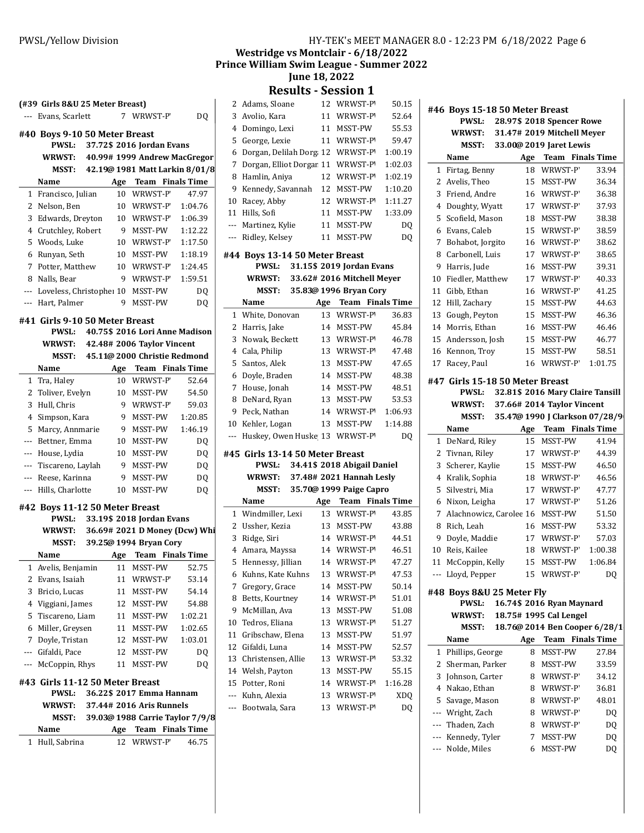|                | (#39 Girls 8&U 25 Meter Breast)<br>Evans, Scarlett                      |     | 7 WRWST-P                       | D <sub>0</sub> |
|----------------|-------------------------------------------------------------------------|-----|---------------------------------|----------------|
|                |                                                                         |     |                                 |                |
|                | #40 Boys 9-10 50 Meter Breast<br>PWSL:                                  |     | 37.72\$ 2016 Jordan Evans       |                |
|                | WRWST: 40.99# 1999 Andrew MacGregor                                     |     |                                 |                |
|                | MSST: 42.19@ 1981 Matt Larkin 8/01/8                                    |     |                                 |                |
|                | Name                                                                    |     | Age Team Finals Time            |                |
|                | 1 Francisco, Julian                                                     | 10  | WRWST-P                         | 47.97          |
|                | 2 Nelson, Ben                                                           |     | 10 WRWST-P                      | 1:04.76        |
|                | 3 Edwards, Dreyton                                                      |     | 10 WRWST-P                      | 1:06.39        |
|                | 4 Crutchley, Robert                                                     |     | 9 MSST-PW                       | 1:12.22        |
|                | 5 Woods, Luke                                                           |     | 10 WRWST-P                      | 1:17.50        |
| 6              | Runyan, Seth                                                            |     | 10 MSST-PW                      | 1:18.19        |
|                | 7 Potter, Matthew                                                       |     | 10 WRWST-P                      | 1:24.45        |
| 8              | Nalls, Bear                                                             |     | 9 WRWST-P                       | 1:59.51        |
|                | --- Loveless, Christophe: 10 MSST-PW                                    |     |                                 | DQ             |
|                | --- Hart, Palmer                                                        | 9.  | MSST-PW                         | DO.            |
|                |                                                                         |     |                                 |                |
|                | #41  Girls 9-10 50 Meter Breast<br>PWSL: 40.75\$ 2016 Lori Anne Madison |     |                                 |                |
|                | WRWST: 42.48# 2006 Taylor Vincent                                       |     |                                 |                |
|                | MSST: 45.11@ 2000 Christie Redmond                                      |     |                                 |                |
|                | Name                                                                    |     | Age Team Finals Time            |                |
| $\mathbf{1}$   | Tra, Haley                                                              | 10  | WRWST-P                         | 52.64          |
|                | 2 Toliver, Evelyn                                                       |     | 10 MSST-PW                      | 54.50          |
| 3              | Hull, Chris                                                             | 9   | WRWST-P                         | 59.03          |
| 4              | Simpson, Kara                                                           |     | 9 MSST-PW                       | 1:20.85        |
| 5              | Marcy, Annmarie                                                         |     | 9 MSST-PW                       | 1:46.19        |
|                | --- Bettner, Emma                                                       |     | 10 MSST-PW                      | DQ             |
|                | --- House, Lydia                                                        |     | 10 MSST-PW                      | DQ             |
|                | --- Tiscareno, Laylah                                                   |     | 9 MSST-PW                       | DQ             |
|                | --- Reese, Karinna                                                      |     | 9 MSST-PW                       | DQ             |
| ---            | Hills, Charlotte                                                        |     | 10 MSST-PW                      | DQ             |
|                | #42 Boys 11-12 50 Meter Breast                                          |     |                                 |                |
|                | PWSL:                                                                   |     | 33.19\$ 2018 Jordan Evans       |                |
|                | <b>WRWST:</b>                                                           |     | 36.69# 2021 D Money (Dcw) Whi   |                |
|                | <b>MSST:</b>                                                            |     | 39.25@ 1994 Bryan Cory          |                |
|                | Name                                                                    |     | Age Team Finals Time            |                |
| 1              | Avelis, Benjamin                                                        | 11  | MSST-PW                         | 52.75          |
| 2              | Evans, Isaiah                                                           | 11  | WRWST-P                         | 53.14          |
| 3              | Bricio, Lucas                                                           | 11  | MSST-PW                         | 54.14          |
| $\overline{4}$ | Viggiani, James                                                         | 12  | MSST-PW                         | 54.88          |
| 5              | Tiscareno, Liam                                                         | 11  | MSST-PW                         | 1:02.21        |
|                | Miller, Greysen                                                         | 11  | MSST-PW                         | 1:02.65        |
| 6              | Doyle, Tristan                                                          | 12  | MSST-PW                         | 1:03.01        |
| 7              |                                                                         | 12  | MSST-PW                         | DQ             |
| ---            | Gifaldi, Pace                                                           |     |                                 |                |
| ---            | McCoppin, Rhys                                                          | 11  | MSST-PW                         | DO             |
|                | #43 Girls 11-12 50 Meter Breast<br>PWSL:                                |     | 36.22\$ 2017 Emma Hannam        |                |
|                | WRWST:                                                                  |     | 37.44# 2016 Aris Runnels        |                |
|                | MSST:                                                                   |     | 39.03@ 1988 Carrie Taylor 7/9/8 |                |
|                | Name                                                                    | Age | <b>Team</b> Finals Time         |                |

| HY-TEK's MEET MANAGER 8.0 - 12:23 PM 6/18/2022 Page 6 |  |
|-------------------------------------------------------|--|
| Westridge vs Montclair - 6/18/2022                    |  |
| $\mathbf{u}$                                          |  |

Prince William Swim League - Summer 2022 June 18, 2022

Results - Session 1

|              |                                  | Results                     |     | <b>PESSION T</b> |                         |
|--------------|----------------------------------|-----------------------------|-----|------------------|-------------------------|
| $\mathbf{2}$ | Adams, Sloane                    |                             | 12  | WRWST-P          | 50.15                   |
| 3            | Avolio, Kara                     |                             | 11  | WRWST-P          | 52.64                   |
| 4            | Domingo, Lexi                    |                             | 11  | MSST-PW          | 55.53                   |
| 5            | George, Lexie                    |                             | 11  | WRWST-P          | 59.47                   |
| 6            | Dorgan, Delilah Dorg 12          |                             |     | WRWST-P'         | 1:00.19                 |
| 7            | Dorgan, Elliot Dorgar 11         |                             |     | WRWST-P'         | 1:02.03                 |
| 8            | Hamlin, Aniya                    |                             | 12  | WRWST-P'         | 1:02.19                 |
| 9            | Kennedy, Savannah                |                             | 12  | MSST-PW          | 1:10.20                 |
| 10           | Racey, Abby                      |                             | 12  | WRWST-P'         | 1:11.27                 |
| 11           | Hills, Sofi                      |                             | 11  | MSST-PW          | 1:33.09                 |
| ---          | Martinez, Kylie                  |                             | 11  | MSST-PW          | DQ                      |
| ---          | Ridley, Kelsey                   |                             | 11  | MSST-PW          | DQ                      |
|              |                                  |                             |     |                  |                         |
|              | #44 Boys 13-14 50 Meter Breast   |                             |     |                  |                         |
|              | PWSL:                            | 31.15\$ 2019 Jordan Evans   |     |                  |                         |
|              | <b>WRWST:</b>                    | 33.62# 2016 Mitchell Meyer  |     |                  |                         |
|              | MSST:                            | 35.83@ 1996 Bryan Cory      |     |                  |                         |
|              | Name                             |                             | Age |                  | <b>Team</b> Finals Time |
| 1            | White, Donovan                   |                             | 13  | WRWST-P'         | 36.83                   |
| 2            | Harris, Jake                     |                             | 14  | MSST-PW          | 45.84                   |
| 3            | Nowak, Beckett                   |                             | 13  | WRWST-P'         | 46.78                   |
| 4            | Cala, Philip                     |                             | 13  | WRWST-P'         | 47.48                   |
| 5            | Santos, Alek                     |                             | 13  | MSST-PW          | 47.65                   |
| 6            | Doyle, Braden                    |                             | 14  | MSST-PW          | 48.38                   |
| 7            | House, Jonah                     |                             | 14  | MSST-PW          | 48.51                   |
| 8            | DeNard, Ryan                     |                             | 13  | MSST-PW          | 53.53                   |
| 9            | Peck, Nathan                     |                             | 14  | WRWST-P'         | 1:06.93                 |
| 10           | Kehler, Logan                    |                             | 13  | MSST-PW          | 1:14.88                 |
| ---          | Huskey, Owen Huske 13            |                             |     | WRWST-P'         | DQ                      |
|              | #45  Girls 13-14 50 Meter Breast |                             |     |                  |                         |
|              | PWSL:                            | 34.41\$ 2018 Abigail Daniel |     |                  |                         |
|              | <b>WRWST:</b>                    | 37.48# 2021 Hannah Lesly    |     |                  |                         |
|              | MSST:                            | 35.70@ 1999 Paige Capro     |     |                  |                         |
|              | Name                             |                             | Age |                  | <b>Team</b> Finals Time |
| 1            | Windmiller, Lexi                 |                             | 13  | WRWST-P'         | 43.85                   |
|              | 2 Ussher, Kezia                  |                             | 13  | MSST-PW          | 43.88                   |
| 3            | Ridge, Siri                      |                             | 14  | WRWST-P'         | 44.51                   |
| 4            | Amara, Mayssa                    |                             | 14  | WRWST-P          | 46.51                   |
|              | 5 Hennessy, Jillian              |                             | 14  | WRWST-P          | 47.27                   |
| 6            | Kuhns, Kate Kuhns                |                             | 13  | WRWST-P'         | 47.53                   |
| 7            | Gregory, Grace                   |                             | 14  | MSST-PW          | 50.14                   |
| 8            | Betts, Kourtney                  |                             | 14  | WRWST-P'         | 51.01                   |
| 9            | McMillan, Ava                    |                             | 13  | MSST-PW          | 51.08                   |
| 10           | Tedros, Eliana                   |                             | 13  | WRWST-P          | 51.27                   |
| 11           | Gribschaw, Elena                 |                             | 13  | MSST-PW          | 51.97                   |
| 12           | Gifaldi, Luna                    |                             | 14  | MSST-PW          | 52.57                   |
| 13           | Christensen, Allie               |                             | 13  | WRWST-P          | 53.32                   |
| 14           | Welsh, Payton                    |                             | 13  | MSST-PW          | 55.15                   |
| 15           | Potter, Roni                     |                             | 14  | WRWST-P'         | 1:16.28                 |
| ---          | Kuhn, Alexia                     |                             | 13  | WRWST-P'         | XDQ                     |
|              |                                  |                             |     |                  |                         |
| ---          | Bootwala, Sara                   |                             | 13  | WRWST-P'         | DQ                      |

#46 Boys 15-18 50 Meter Breast PWSL: 28.97\$ 2018 Spencer Rowe WRWST: 31.47# 2019 Mitchell Meyer MSST: 33.00@ 2019 Jaret Lewis Name Age Team Finals Time 1 Firtag, Benny 18 WRWST-P 33.94 2 Avelis, Theo 15 MSST-PW 36.34 3 Friend, Andre 16 WRWST-P 36.38 4 Doughty, Wyatt 17 WRWST-P 37.93 5 Scofield, Mason 18 MSST-PW 38.38 6 38.59 Evans, Caleb 15 WRWST-PW 7 Bohabot, Jorgito 16 WRWST-P 38.62 8 Carbonell, Luis 17 WRWST-P 38.65 9 Harris, Jude 16 MSST-PW 39.31 10 Fiedler, Matthew 17 WRWST-P 40.33 11 Gibb, Ethan 16 WRWST-P 41.25 12 Hill, Zachary 15 MSST-PW 44.63 13 Gough, Peyton 15 MSST-PW 46.36 14 Morris, Ethan 16 MSST-PW 46.46 15 Andersson, Josh 15 MSST-PW 46.77 16 Kennon, Troy 15 MSST-PW 58.51 17 Racey, Paul 16 WRWST-P 1:01.75 #47 Girls 15-18 50 Meter Breast PWSL: 32.81\$ 2016 Mary Claire Tansill WRWST: 37.66# 2014 Taylor Vincent MSST: 35.47@ 1990 J Clarkson 07/28/9 Name Age Team Finals Time 1 DeNard, Riley 15 MSST-PW 41.94 2 Tivnan, Riley 17 WRWST-P 44.39 3 Scherer, Kaylie 15 MSST-PW 46.50 4 Kralik, Sophia 18 WRWST-P 46.56 5 Silvestri, Mia 17 WRWST-P 47.77 6 Nixon, Leigha 17 WRWST-P 51.26 7 Alachnowicz, Carolee 16 MSST-PW 51.50 8 Rich, Leah 16 MSST-PW 53.32 9 Doyle, Maddie 17 WRWST-P 57.03 10 Reis, Kailee 18 WRWST-P 1:00.38 11 McCoppin, Kelly 15 MSST-PW 1:06.84 --- Lloyd, Pepper 15 WRWST-P DQ #48 Boys 8&U 25 Meter Fly PWSL: 16.74\$ 2016 Ryan Maynard WRWST: 18.75# 1995 Cal Lengel MSST: 18.76@ 2014 Ben Cooper 6/28/1 Name Age Team Finals Time 1 Phillips, George 8 MSST-PW 27.84 2 Sherman, Parker 8 MSST-PW 33.59 3 Johnson, Carter 8 WRWST-P 34.12 4 Nakao, Ethan 8 WRWST-P 36.81 5 Savage, Mason 8 WRWST-P 48.01 --- Wright, Zach 8 WRWST-P DQ --- Thaden, Zach 8 WRWST-P DQ --- Kennedy, Tyler 7 MSST-PW DQ --- Nolde, Miles 6 MSST-PW DQ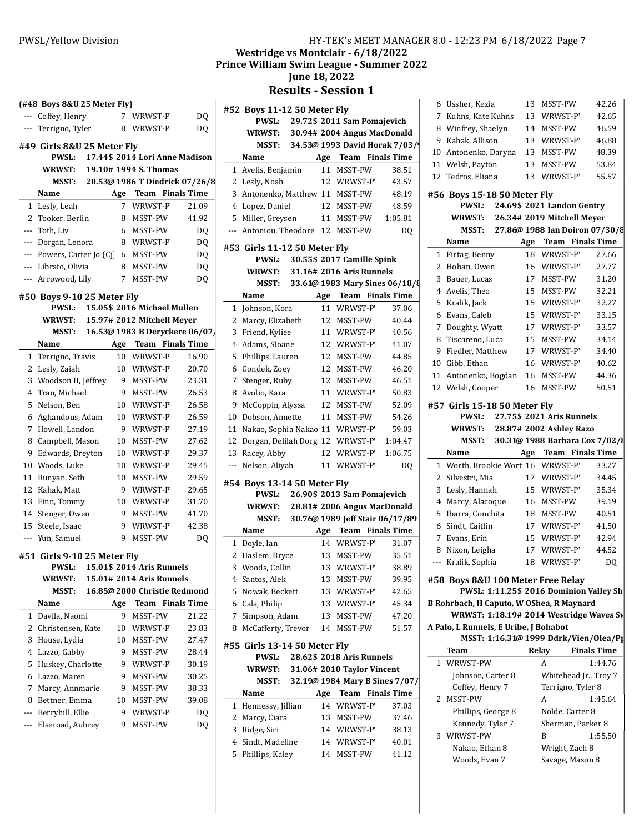| HY-TEK's MEET MANAGER 8.0 - 12:23 PM 6/18/2022 Page 7 |  |  |
|-------------------------------------------------------|--|--|
|-------------------------------------------------------|--|--|

 $\overline{\phantom{a}}$ 

Westridge vs Montclair - 6/18/2022 Prince William Swim League - Summer 2022

June 18, 2022

Results - Session 1

|        | $($ #48 Boys 8&U 25 Meter Fly $)$                              |         |                              |                                | # |
|--------|----------------------------------------------------------------|---------|------------------------------|--------------------------------|---|
|        | --- Coffey, Henry                                              |         | 7 WRWST-P                    | DQ                             |   |
| $---$  | Terrigno, Tyler                                                | 8       | WRWST-P                      | DQ                             |   |
|        | #49 Girls 8&U 25 Meter Fly                                     |         |                              |                                |   |
|        | <b>PWSL:</b>                                                   |         |                              | 17.44\$ 2014 Lori Anne Madison |   |
|        | <b>WRWST:</b>                                                  |         | 19.10# 1994 S. Thomas        |                                |   |
|        | MSST:                                                          |         |                              | 20.53@ 1986 T Diedrick 07/26/8 |   |
|        | Name                                                           |         | Age Team Finals Time         |                                |   |
| 1      | Lesly, Leah                                                    | 7       | WRWST-P                      | 21.09                          |   |
| 2      | Tooker, Berlin                                                 | 8       | MSST-PW                      | 41.92                          |   |
| ---    | Toth, Liv                                                      | 6       | MSST-PW                      | DQ                             |   |
| ---    | Dorgan, Lenora                                                 | 8       | WRWST-P                      | DQ                             |   |
|        | --- Powers, Carter Jo (Cj                                      |         | 6 MSST-PW                    | DQ                             | # |
|        | --- Librato, Olivia                                            | 8       | MSST-PW                      | DQ                             |   |
| ---    | Arrowood, Lily                                                 | 7       | MSST-PW                      | DQ                             |   |
|        |                                                                |         |                              |                                |   |
|        | #50  Boys 9-10 25 Meter Fly                                    |         |                              |                                |   |
|        | <b>PWSL:</b>                                                   |         | 15.05\$ 2016 Michael Mullen  |                                |   |
|        | WRWST:                                                         |         | 15.97# 2012 Mitchell Meyer   |                                |   |
|        | <b>MSST:</b>                                                   |         |                              | 16.53@ 1983 B Deryckere 06/07  |   |
|        | Name                                                           |         | Age Team Finals Time         |                                |   |
| 1      | Terrigno, Travis                                               | 10      | WRWST-P                      | 16.90                          |   |
| 2      | Lesly, Zaiah                                                   | 10      | WRWST-P                      | 20.70                          |   |
| 3      | Woodson II, Jeffrey<br>Tran. Michael                           | 9       | MSST-PW<br>MSST-PW           | 23.31                          |   |
| 4<br>5 | Nelson, Ben                                                    | 9<br>10 | WRWST-P                      | 26.53<br>26.58                 |   |
| 6      | Aghandous, Adam                                                | 10      | WRWST-P                      | 26.59                          |   |
| 7      | Howell, Landon                                                 | 9       | WRWST-P                      | 27.19                          |   |
| 8      | Campbell, Mason                                                | 10      | MSST-PW                      | 27.62                          |   |
| 9      | Edwards, Dreyton                                               | 10      | WRWST-P                      | 29.37                          |   |
| 10     | Woods, Luke                                                    | 10      | WRWST-P                      | 29.45                          |   |
| 11     | Runyan, Seth                                                   | 10      | MSST-PW                      | 29.59                          |   |
| 12     | Kahak, Matt                                                    | 9       | WRWST-P                      | 29.65                          | # |
| 13     | Finn, Tommy                                                    | 10      | WRWST-P                      | 31.70                          |   |
|        | 14 Stenger, Owen                                               | 9       | MSST-PW                      | 41.70                          |   |
| 15     | Steele, Isaac                                                  | 9       | WRWST-P                      | 42.38                          |   |
| ---    | Yun, Samuel                                                    | 9       | MSST-PW                      | DQ                             |   |
|        |                                                                |         |                              |                                |   |
|        | #51 Girls 9-10 25 Meter Fly<br>PWSL: 15.01\$ 2014 Aris Runnels |         |                              |                                |   |
|        | <b>WRWST:</b>                                                  |         | 15.01# 2014 Aris Runnels     |                                |   |
|        | MSST:                                                          |         | 16.85@ 2000 Christie Redmond |                                |   |
|        | Name                                                           | Age     |                              | <b>Team</b> Finals Time        |   |
| 1      | Davila, Naomi                                                  | 9       | MSST-PW                      | 21.22                          |   |
| 2      | Christensen, Kate                                              | 10      | WRWST-P                      | 23.83                          |   |
| 3      | House, Lydia                                                   | 10      | MSST-PW                      | 27.47                          |   |
| 4      | Lazzo, Gabby                                                   | 9       | MSST-PW                      | 28.44                          | # |
| 5      | Huskey, Charlotte                                              | 9       | WRWST-P                      | 30.19                          |   |
| 6      | Lazzo, Maren                                                   | 9       | MSST-PW                      | 30.25                          |   |
| 7      | Marcy, Annmarie                                                | 9       | MSST-PW                      | 38.33                          |   |
| 8      | Bettner, Emma                                                  | 10      | MSST-PW                      | 39.08                          |   |
| ---    | Berryhill, Ellie                                               | 9       | WRWST-P                      | DQ                             |   |
| ---    | Elseroad, Aubrey                                               | 9       | MSST-PW                      | DQ                             |   |
|        |                                                                |         |                              |                                |   |
|        |                                                                |         |                              |                                |   |

|     | #52 Boys 11-12 50 Meter Fly<br><b>PWSL:</b>  |     | 29.72\$ 2011 Sam Pomajevich     |         |   |
|-----|----------------------------------------------|-----|---------------------------------|---------|---|
|     | <b>WRWST:</b>                                |     | 30.94# 2004 Angus MacDonald     |         |   |
|     | MSST:                                        |     | 34.53@ 1993 David Horak 7/03/9  |         |   |
|     | Name                                         |     |                                 |         |   |
|     |                                              |     | Age Team Finals Time            |         |   |
|     | 1 Avelis, Benjamin                           |     | 11 MSST-PW                      | 38.51   |   |
| 2   | Lesly, Noah                                  |     | 12 WRWST-P'                     | 43.57   |   |
| 3   | Antonenko, Matthew 11 MSST-PW                |     |                                 | 48.19   | ŧ |
|     | 4 Lopez, Daniel                              |     | 12 MSST-PW                      | 48.59   |   |
| 5   | Miller, Greysen                              |     | 11 MSST-PW                      | 1:05.81 |   |
| --- | Antoniou, Theodore                           | 12  | MSST-PW                         | DQ      |   |
|     | #53 Girls 11-12 50 Meter Fly<br>PWSL:        |     | 30.55\$ 2017 Camille Spink      |         |   |
|     | <b>WRWST:</b>                                |     | 31.16# 2016 Aris Runnels        |         |   |
|     | MSST:                                        |     | 33.61@ 1983 Mary Sines 06/18/8  |         |   |
|     | Name                                         |     | Age Team Finals Time            |         |   |
| 1   | Johnson, Kora                                |     | 11 WRWST-P                      | 37.06   |   |
| 2   | Marcy, Elizabeth                             |     | 12 MSST-PW                      | 40.44   |   |
| 3   | Friend, Kyliee                               |     | 11 WRWST-P'                     | 40.56   |   |
|     |                                              |     |                                 |         |   |
| 4   | Adams, Sloane                                |     | 12 WRWST-P'                     | 41.07   |   |
| 5   | Phillips, Lauren                             |     | 12 MSST-PW                      | 44.85   |   |
| 6   | Gondek, Zoey                                 |     | 12 MSST-PW                      | 46.20   |   |
| 7   | Stenger, Ruby                                |     | 12 MSST-PW                      | 46.51   |   |
| 8   | Avolio, Kara                                 |     | 11 WRWST-P                      | 50.83   |   |
| 9   | McCoppin, Alyssa                             |     | 12 MSST-PW                      | 52.09   | ŧ |
| 10  | Dobson, Annette                              |     | 11 MSST-PW                      | 54.26   |   |
| 11  | Nakao, Sophia Nakao 11 WRWST-P'              |     |                                 | 59.03   |   |
| 12  | Dorgan, Delilah Dorg 12 WRWST-P              |     |                                 | 1:04.47 |   |
| 13  | Racey, Abby                                  | 12  | WRWST-P'                        | 1:06.75 |   |
| --- | Nelson, Aliyah                               | 11  | WRWST-P                         | DQ      |   |
|     | #54 Boys 13-14 50 Meter Fly                  |     |                                 |         |   |
|     | <b>PWSL:</b>                                 |     | 26.90\$ 2013 Sam Pomajevich     |         |   |
|     | <b>WRWST:</b>                                |     | 28.81# 2006 Angus MacDonald     |         |   |
|     | MSST:                                        |     | 30.76@ 1989 Jeff Stair 06/17/89 |         |   |
|     | Name                                         | Age | <b>Team</b> Finals Time         |         |   |
| 1   | Doyle, Ian                                   |     | 14 WRWST-P'                     | 31.07   |   |
| 2   | Haslem, Bryce                                |     | 13 MSST-PW                      | 35.51   |   |
| 3   | Woods, Collin                                | 13  | WRWST-P'                        | 38.89   |   |
| 4   | Santos, Alek                                 | 13  | MSST-PW                         | 39.95   | ŧ |
| 5   | Nowak, Beckett                               | 13  | WRWST-P'                        | 42.65   |   |
|     | 6 Cala, Philip                               | 13  | WRWST-P                         | 45.34   | I |
| 7   | Simpson, Adam                                | 13  | MSST-PW                         | 47.20   |   |
|     |                                              |     |                                 |         | ŀ |
| 8   | McCafferty, Trevor                           | 14  | MSST-PW                         | 51.57   |   |
|     | #55 Girls 13-14 50 Meter Fly<br><b>PWSL:</b> |     | 28.62\$ 2018 Aris Runnels       |         |   |
|     | <b>WRWST:</b>                                |     | 31.06# 2010 Taylor Vincent      |         |   |
|     | MSST:                                        |     | 32.19@ 1984 Mary B Sines 7/07/  |         |   |
|     | Name                                         |     | Age Team Finals Time            |         |   |
| 1   | Hennessy, Jillian                            | 14  | WRWST-P                         | 37.03   |   |
| 2   | Marcy, Ciara                                 |     | 13 MSST-PW                      | 37.46   |   |
| 3   | Ridge, Siri                                  | 14  | WRWST-P'                        | 38.13   |   |
| 4   | Sindt, Madeline                              | 14  |                                 | 40.01   |   |
| 5   | Phillips, Kaley                              |     | WRWST-P'                        |         |   |
|     |                                              | 14  | MSST-PW                         | 41.12   |   |
|     |                                              |     |                                 |         |   |

|              | 6 Ussher, Kezia                          |    | 13 MSST-PW                                                | 42.26                                                     |  |  |  |  |  |  |  |
|--------------|------------------------------------------|----|-----------------------------------------------------------|-----------------------------------------------------------|--|--|--|--|--|--|--|
|              | 7 Kuhns, Kate Kuhns                      |    | 13 WRWST-P                                                | 42.65                                                     |  |  |  |  |  |  |  |
|              | 8 Winfrey, Shaelyn                       |    | 14 MSST-PW                                                | 46.59                                                     |  |  |  |  |  |  |  |
|              | 9 Kahak, Allison                         |    | 13 WRWST-P                                                | 46.88                                                     |  |  |  |  |  |  |  |
|              | 10 Antonenko, Daryna                     |    | 13 MSST-PW                                                | 48.39                                                     |  |  |  |  |  |  |  |
|              | 11 Welsh, Payton                         |    | 13 MSST-PW                                                | 53.84                                                     |  |  |  |  |  |  |  |
|              | 12 Tedros, Eliana                        | 13 | WRWST-P                                                   | 55.57                                                     |  |  |  |  |  |  |  |
|              | #56  Boys 15-18 50 Meter Fly             |    |                                                           |                                                           |  |  |  |  |  |  |  |
|              | <b>PWSL:</b>                             |    | 24.69\$ 2021 Landon Gentry                                |                                                           |  |  |  |  |  |  |  |
|              | WRWST: 26.34# 2019 Mitchell Meyer        |    |                                                           |                                                           |  |  |  |  |  |  |  |
|              | MSST: 27.86@ 1988 Ian Doiron 07/30/8     |    |                                                           |                                                           |  |  |  |  |  |  |  |
|              | Name<br>1 Firtag, Benny                  | 18 | Age Team Finals Time<br>WRWST-P                           | 27.66                                                     |  |  |  |  |  |  |  |
|              | 2 Hoban, Owen                            |    | 16 WRWST-P                                                | 27.77                                                     |  |  |  |  |  |  |  |
|              | 3 Bauer, Lucas                           |    | 17 MSST-PW                                                | 31.20                                                     |  |  |  |  |  |  |  |
|              | 4 Avelis, Theo                           |    | 15 MSST-PW                                                | 32.21                                                     |  |  |  |  |  |  |  |
|              | 5 Kralik, Jack                           |    | 15 WRWST-P                                                | 32.27                                                     |  |  |  |  |  |  |  |
|              | 6 Evans, Caleb                           | 15 | WRWST-P                                                   | 33.15                                                     |  |  |  |  |  |  |  |
| 7            | Doughty, Wyatt                           |    | 17 WRWST-P                                                | 33.57                                                     |  |  |  |  |  |  |  |
|              | 8 Tiscareno, Luca                        |    | 15 MSST-PW                                                | 34.14                                                     |  |  |  |  |  |  |  |
|              | 9 Fiedler, Matthew                       |    | 17 WRWST-P                                                | 34.40                                                     |  |  |  |  |  |  |  |
|              | 10 Gibb, Ethan                           |    | 16 WRWST-P                                                | 40.62                                                     |  |  |  |  |  |  |  |
|              | 11 Antonenko, Bogdan                     |    | 16 MSST-PW                                                | 44.36                                                     |  |  |  |  |  |  |  |
|              | 12 Welsh, Cooper                         |    | 16 MSST-PW                                                | 50.51                                                     |  |  |  |  |  |  |  |
|              |                                          |    |                                                           |                                                           |  |  |  |  |  |  |  |
|              |                                          |    |                                                           | #57 Girls 15-18 50 Meter Fly<br>27.75\$ 2021 Aris Runnels |  |  |  |  |  |  |  |
|              |                                          |    |                                                           |                                                           |  |  |  |  |  |  |  |
|              | <b>PWSL:</b><br><b>WRWST:</b>            |    |                                                           |                                                           |  |  |  |  |  |  |  |
|              | MSST:                                    |    | 28.87# 2002 Ashley Razo<br>30.31@ 1988 Barbara Cox 7/02/{ |                                                           |  |  |  |  |  |  |  |
|              | Name                                     |    | Age Team Finals Time                                      |                                                           |  |  |  |  |  |  |  |
|              | 1 Worth, Brookie Wort 16 WRWST-P         |    |                                                           | 33.27                                                     |  |  |  |  |  |  |  |
| $\mathbf{2}$ | Silvestri, Mia                           |    | 17 WRWST-P                                                | 34.45                                                     |  |  |  |  |  |  |  |
| 3            | Lesly, Hannah                            |    | 15 WRWST-P                                                | 35.34                                                     |  |  |  |  |  |  |  |
|              | 4 Marcy, Alacoque                        |    | 16 MSST-PW                                                | 39.19                                                     |  |  |  |  |  |  |  |
|              | 5 Ibarra, Conchita                       |    | 18 MSST-PW                                                | 40.51                                                     |  |  |  |  |  |  |  |
|              | 6 Sindt, Caitlin                         |    | 17 WRWST-P                                                | 41.50                                                     |  |  |  |  |  |  |  |
|              | 7 Evans, Erin                            |    | 15 WRWST-P                                                | 42.94                                                     |  |  |  |  |  |  |  |
|              | 8 Nixon, Leigha                          |    | 17 WRWST-P                                                | 44.52                                                     |  |  |  |  |  |  |  |
| ---          | Kralik, Sophia                           | 18 | WRWST-P                                                   | DQ                                                        |  |  |  |  |  |  |  |
|              | #58 Boys 8&U 100 Meter Free Relay        |    |                                                           |                                                           |  |  |  |  |  |  |  |
|              | PWSL: 1:11.25\$ 2016 Dominion Valley Sh  |    |                                                           |                                                           |  |  |  |  |  |  |  |
|              | B Rohrbach, H Caputo, W OShea, R Maynard |    |                                                           |                                                           |  |  |  |  |  |  |  |
|              | WRWST: 1:18.19# 2014 Westridge Waves Sv  |    |                                                           |                                                           |  |  |  |  |  |  |  |
|              | A Palo, L Runnels, E Uribe, J Bohabot    |    |                                                           |                                                           |  |  |  |  |  |  |  |
|              | MSST: 1:16.31@ 1999 Ddrk/Vien/Olea/Pp    |    |                                                           |                                                           |  |  |  |  |  |  |  |
|              | Team                                     |    | Relay                                                     | <b>Finals Time</b>                                        |  |  |  |  |  |  |  |
| 1            | WRWST-PW                                 |    | A                                                         | 1:44.76                                                   |  |  |  |  |  |  |  |
|              | Johnson, Carter 8                        |    | Whitehead Jr., Troy 7                                     |                                                           |  |  |  |  |  |  |  |
|              | Coffey, Henry 7                          |    | Terrigno, Tyler 8                                         |                                                           |  |  |  |  |  |  |  |
| 2            | MSST-PW                                  |    | A                                                         | 1:45.64                                                   |  |  |  |  |  |  |  |
|              | Phillips, George 8                       |    | Nolde, Carter 8                                           |                                                           |  |  |  |  |  |  |  |
|              | Kennedy, Tyler 7                         |    | Sherman, Parker 8                                         |                                                           |  |  |  |  |  |  |  |
|              | 3 WRWST-PW                               |    | B                                                         | 1:55.50                                                   |  |  |  |  |  |  |  |
|              | Nakao, Ethan 8<br>Woods, Evan 7          |    | Wright, Zach 8<br>Savage, Mason 8                         |                                                           |  |  |  |  |  |  |  |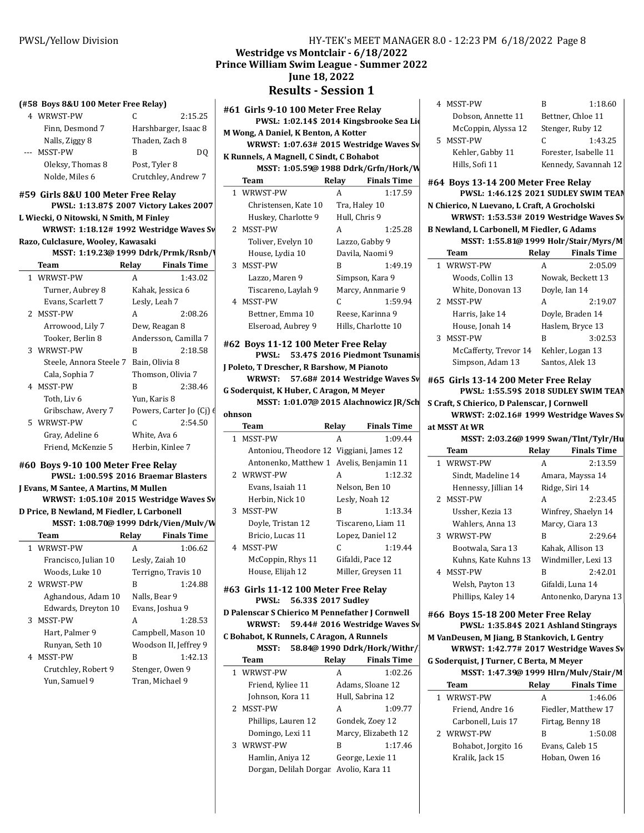#### (#58 Boys 8&U 100 Meter Free Relay)

|       | WRWST-PW         | C                    | 2:15.25 |
|-------|------------------|----------------------|---------|
|       | Finn, Desmond 7  | Harshbarger, Isaac 8 |         |
|       | Nalls, Ziggy 8   | Thaden, Zach 8       |         |
| $---$ | <b>MSST-PW</b>   | в                    | DO      |
|       | Oleksy, Thomas 8 | Post, Tyler 8        |         |
|       | Nolde, Miles 6   | Crutchley, Andrew 7  |         |

#### #59 Girls 8&U 100 Meter Free Relay PWSL: 1:13.87\$.2007 Victory Lakes 2007

| $\bf{F}$ W3L: 1:13.07 $\bf{F}$ Z007 VICIOI V Lanes Z007 |      |
|---------------------------------------------------------|------|
| L Wiecki, O Nitowski, N Smith, M Finlev                 |      |
| WRWST: 1:18.12# 1992 Westridge Waves Sv                 | 2 MS |

#### Razo, Culclasure, Wooley, Kawasaki

| MSST: 1:19.23@ 1999 Ddrk/Prmk/Rsnb/\ |  |
|--------------------------------------|--|
|--------------------------------------|--|

| Team                    | Relav        | <b>Finals Time</b>       |
|-------------------------|--------------|--------------------------|
| 1 WRWST-PW              | A            | 1:43.02                  |
| Turner, Aubrey 8        |              | Kahak, Jessica 6         |
| Evans, Scarlett 7       |              | Lesly, Leah 7            |
| 2 MSST-PW               | A            | 2:08.26                  |
| Arrowood, Lily 7        |              | Dew, Reagan 8            |
| Tooker, Berlin 8        |              | Andersson, Camilla 7     |
| 3 WRWST-PW              | R            | 2:18.58                  |
| Steele, Annora Steele 7 |              | Bain, Olivia 8           |
| Cala, Sophia 7          |              | Thomson, Olivia 7        |
| 4 MSST-PW               | R            | 2:38.46                  |
| Toth, Liv 6             | Yun, Karis 8 |                          |
| Gribschaw, Avery 7      |              | Powers, Carter Jo (Cj) 6 |
| 5 WRWST-PW              | C            | 2:54.50                  |
| Gray, Adeline 6         | White, Ava 6 |                          |
| Friend, McKenzie 5      |              | Herbin, Kinlee 7         |
|                         |              |                          |

#### #60 Boys 9-10 100 Meter Free Relay PWSL: 1:00.59\$ 2016 Braemar Blasters

J Evans, M Santee, A Martins, M Mullen

WRWST:  $1:05.10# 2015$  Westridge Waves Sv D Price, B Newland, M Fiedler, L Carbonell

| "Price. B Newland. M Fledler. L Carbonell"                  |  |  |  |  |  |
|-------------------------------------------------------------|--|--|--|--|--|
| MSST: 1:08.70@ 1999 Ddrk/Vien/Mulv/W                        |  |  |  |  |  |
| <b>Finals Time</b><br>Relay<br>Team                         |  |  |  |  |  |
| $\lambda$ $\lambda$ $\lambda$ $\lambda$<br>,,,,,,,,,,,,,,,, |  |  |  |  |  |

| <b>I</b> WRWST-PW    | А<br>1:06.62          |
|----------------------|-----------------------|
| Francisco, Julian 10 | Lesly, Zaiah 10       |
| Woods, Luke 10       | Terrigno, Travis 10   |
| 2 WRWST-PW           | 1:24.88<br>В          |
| Aghandous, Adam 10   | Nalls, Bear 9         |
| Edwards, Dreyton 10  | Evans, Joshua 9       |
| 3 MSST-PW            | 1:28.53<br>A          |
| Hart. Palmer 9       | Campbell, Mason 10    |
| Runyan, Seth 10      | Woodson II, Jeffrey 9 |
| <b>MSST-PW</b><br>4  | 1:42.13<br>В          |
| Crutchley, Robert 9  | Stenger, Owen 9       |
| Yun. Samuel 9        | Tran, Michael 9       |

# PWSL/Yellow Division HY-TEK's MEET MANAGER 8.0 - 12:23 PM 6/18/2022 Page 8 Westridge vs Montclair - 6/18/2022 Prince William Swim League - Summer 2022 June 18, 2022

Results - Session 1

#61 Girls 9-10 100 Meter Free Relay PWSL: 1:02.14\$ 2014 Kingsbrooke Sea Lio M Wong, A Daniel, K Benton, A Kotter WRWST:  $1:07.63# 2015$  Westridge Waves Sv K Runnels, A Magnell, C Sindt, C Bohabot MSST: 1:05.59@ 1988 Ddrk/Grfn/Hork/W Team Relay Finals Time 1 WRWST-PW A 1:17.59 Christensen, Kate 10 Tra, Haley 10 Huskey, Charlotte 9 Hull, Chris 9 2 MSST-PW A 1:25.28 Toliver, Evelyn 10 Lazzo, Gabby 9 House, Lydia 10 Davila, Naomi 9 3 MSST-PW B 1:49.19 Lazzo, Maren 9 Simpson, Kara 9 Tiscareno, Laylah 9 Marcy, Annmarie 9 4 1:59.94 MSST-PW C Bettner, Emma 10 Reese, Karinna 9 Elseroad, Aubrey 9 Hills, Charlotte 10 #62 Boys 11-12 100 Meter Free Relay

PWSL: 53.47\$ 2016 Piedmont Tsunamis J Poleto, T Drescher, R Barshow, M Pianoto

WRWST: 57.68# 2014 Westridge Waves Sv G Soderquist, K Huber, C Aragon, M Meyer MSST: 1:01.07@ 2015 Alachnowicz JR/Sch

# ohnson

| Team                                     | Relay | <b>Finals Time</b> |
|------------------------------------------|-------|--------------------|
| 1 MSST-PW                                | A     | 1:09.44            |
| Antoniou, Theodore 12 Viggiani, James 12 |       |                    |
| Antonenko, Matthew 1 Avelis, Benjamin 11 |       |                    |
| 2 WRWST-PW                               | А     | 1:12.32            |
| Evans, Isaiah 11                         |       | Nelson, Ben 10     |
| Herbin. Nick 10                          |       | Lesly, Noah 12     |
| 3 MSST-PW                                | в     | 1:13.34            |
| Doyle, Tristan 12                        |       | Tiscareno, Liam 11 |
| Bricio. Lucas 11                         |       | Lopez, Daniel 12   |
| 4 MSST-PW                                | C     | 1:19.44            |
| McCoppin, Rhys 11                        |       | Gifaldi, Pace 12   |
| House, Elijah 12                         |       | Miller, Greysen 11 |
|                                          |       |                    |

#63 Girls 11-12 100 Meter Free Relay PWSL: 56.33\$ 2017 Sudley

```
D Palenscar S Chierico M Pennefather J Cornwell
WRWST: 59.44# 2016 Westridge Waves Sv
```
C Bohabot, K Runnels, C Aragon, A Runnels MSST: 58.84@ 1990 Ddrk/Hork/Withr/

| Team                                   | Relay | <b>Finals Time</b>  |
|----------------------------------------|-------|---------------------|
| 1 WRWST-PW                             | A     | 1:02.26             |
| Friend, Kyliee 11                      |       | Adams, Sloane 12    |
| Johnson, Kora 11                       |       | Hull, Sabrina 12    |
| 2 MSST-PW                              | A     | 1:09.77             |
| Phillips, Lauren 12                    |       | Gondek, Zoey 12     |
| Domingo, Lexi 11                       |       | Marcy, Elizabeth 12 |
| 3 WRWST-PW                             | в     | 1:17.46             |
| Hamlin, Aniya 12                       |       | George, Lexie 11    |
| Dorgan, Delilah Dorgar Avolio, Kara 11 |       |                     |

| 4 MSST-PW           | в | 1:18.60               |
|---------------------|---|-----------------------|
| Dobson, Annette 11  |   | Bettner, Chloe 11     |
| McCoppin, Alyssa 12 |   | Stenger, Ruby 12      |
| <b>MSST-PW</b><br>5 | C | 1:43.25               |
| Kehler, Gabby 11    |   | Forester, Isabelle 11 |
| Hills, Sofi 11      |   | Kennedy, Savannah 12  |

#64 Boys 13-14 200 Meter Free Relay PWSL: 1:46.12\$ 2021 SUDLEY SWIM TEAM N Chierico, N Luevano, L Craft, A Grocholski WRWST:  $1:53.53#$  2019 Westridge Waves Sv

B Newland, L Carbonell, M Fiedler, G Adams

| MSST: 1:55.81@ 1999 Holr/Stair/Myrs/M |       |                    |  |  |  |
|---------------------------------------|-------|--------------------|--|--|--|
| Team                                  | Relay | <b>Finals Time</b> |  |  |  |
| 1 WRWST-PW                            | A     | 2:05.09            |  |  |  |
| Woods, Collin 13                      |       | Nowak, Beckett 13  |  |  |  |
| White, Donovan 13                     |       | Doyle, Ian 14      |  |  |  |
| 2 MSST-PW                             | А     | 2:19.07            |  |  |  |
| Harris, Jake 14                       |       | Doyle, Braden 14   |  |  |  |
| House, Jonah 14                       |       | Haslem, Bryce 13   |  |  |  |
| 3 MSST-PW                             | B     | 3:02.53            |  |  |  |
| McCafferty, Trevor 14                 |       | Kehler, Logan 13   |  |  |  |
| Simpson, Adam 13                      |       | Santos, Alek 13    |  |  |  |

#65 Girls 13-14 200 Meter Free Relay PWSL: 1:55.59\$ 2018 SUDLEY SWIM TEAM

S Craft, S Chierico, D Palenscar, J Cornwell

WRWST:  $2:02.16#$  1999 Westridge Waves Sv at MSST At WR

| MSST: 2:03.26@ 1999 Swan/Tlnt/Tylr/Hu |       |                      |  |  |  |
|---------------------------------------|-------|----------------------|--|--|--|
| Team                                  | Relay | <b>Finals Time</b>   |  |  |  |
| 1 WRWST-PW                            | A     | 2:13.59              |  |  |  |
| Sindt, Madeline 14                    |       | Amara, Mayssa 14     |  |  |  |
| Hennessy, Jillian 14                  |       | Ridge, Siri 14       |  |  |  |
| 2 MSST-PW                             | A     | 2:23.45              |  |  |  |
| Ussher, Kezia 13                      |       | Winfrey, Shaelyn 14  |  |  |  |
| Wahlers, Anna 13                      |       | Marcy, Ciara 13      |  |  |  |
| 3 WRWST-PW                            | R     | 2:29.64              |  |  |  |
| Bootwala, Sara 13                     |       | Kahak, Allison 13    |  |  |  |
| Kuhns, Kate Kuhns 13                  |       | Windmiller, Lexi 13  |  |  |  |
| 4 MSST-PW                             | R     | 2:42.01              |  |  |  |
| Welsh, Payton 13                      |       | Gifaldi, Luna 14     |  |  |  |
| Phillips, Kaley 14                    |       | Antonenko, Daryna 13 |  |  |  |

# #66 Boys 15-18 200 Meter Free Relay

PWSL: 1:35.84\$ 2021 Ashland Stingrays M VanDeusen, M Jiang, B Stankovich, L Gentry

WRWST: 1:42.77# 2017 Westridge Waves Sw

G Soderquist, J Turner, C Berta, M Meyer

|  |  |  |  |  | MSST: 1:47.39@ 1999 Hlrn/Mulv/Stair/M |  |
|--|--|--|--|--|---------------------------------------|--|
|--|--|--|--|--|---------------------------------------|--|

| Team                | Relay | <b>Finals Time</b>  |
|---------------------|-------|---------------------|
| 1 WRWST-PW          | A     | 1:46.06             |
| Friend, Andre 16    |       | Fiedler, Matthew 17 |
| Carbonell, Luis 17  |       | Firtag, Benny 18    |
| 2 WRWST-PW          | В     | 1:50.08             |
| Bohabot, Jorgito 16 |       | Evans, Caleb 15     |
| Kralik, Jack 15     |       | Hoban, Owen 16      |